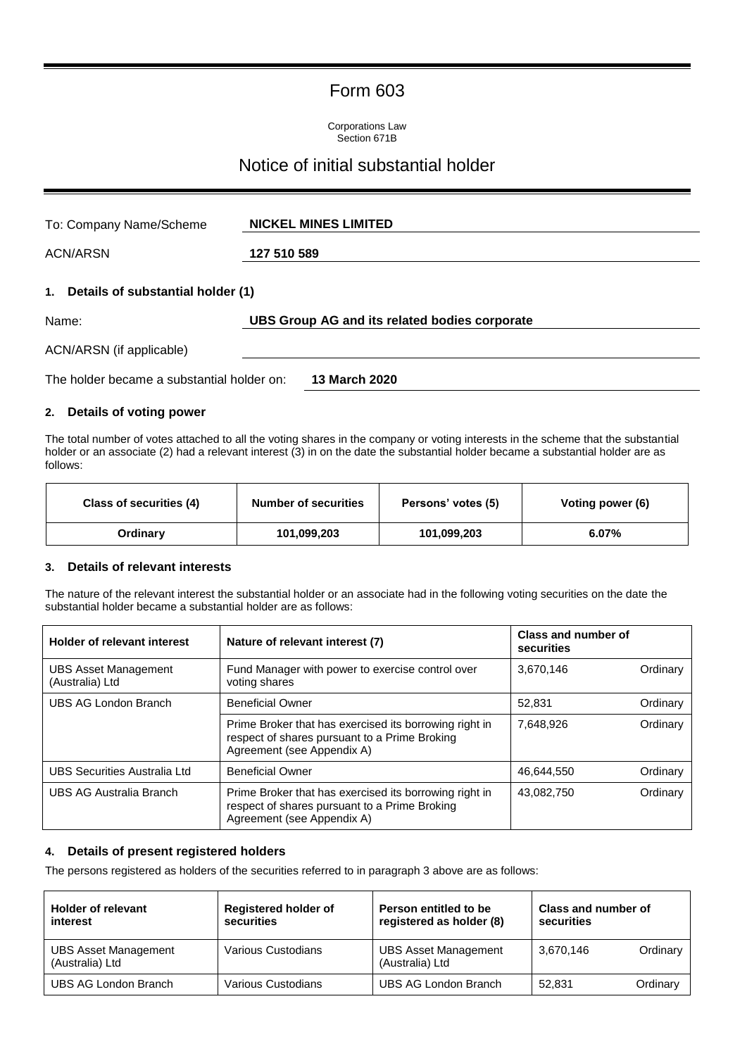## Form 603

Corporations Law Section 671B

# Notice of initial substantial holder

| To: Company Name/Scheme                    | <b>NICKEL MINES LIMITED</b>                   |
|--------------------------------------------|-----------------------------------------------|
| <b>ACN/ARSN</b>                            | 127 510 589                                   |
| 1.<br>Details of substantial holder (1)    |                                               |
| Name:                                      | UBS Group AG and its related bodies corporate |
| ACN/ARSN (if applicable)                   |                                               |
| The holder became a substantial holder on: | 13 March 2020                                 |

#### **2. Details of voting power**

The total number of votes attached to all the voting shares in the company or voting interests in the scheme that the substantial holder or an associate (2) had a relevant interest (3) in on the date the substantial holder became a substantial holder are as follows:

| Class of securities (4) | <b>Number of securities</b> | Persons' votes (5) | Voting power (6) |
|-------------------------|-----------------------------|--------------------|------------------|
| Ordinarv                | 101,099,203                 | 101,099,203        | 6.07%            |

#### **3. Details of relevant interests**

The nature of the relevant interest the substantial holder or an associate had in the following voting securities on the date the substantial holder became a substantial holder are as follows:

| <b>Holder of relevant interest</b>             | Nature of relevant interest (7)                                                                                                       | Class and number of<br>securities |          |
|------------------------------------------------|---------------------------------------------------------------------------------------------------------------------------------------|-----------------------------------|----------|
| <b>UBS Asset Management</b><br>(Australia) Ltd | Fund Manager with power to exercise control over<br>voting shares                                                                     | 3,670,146                         | Ordinary |
| UBS AG London Branch                           | <b>Beneficial Owner</b>                                                                                                               | 52.831                            | Ordinary |
|                                                | Prime Broker that has exercised its borrowing right in<br>respect of shares pursuant to a Prime Broking<br>Agreement (see Appendix A) | 7.648.926                         | Ordinary |
| UBS Securities Australia Ltd                   | <b>Beneficial Owner</b>                                                                                                               | 46,644,550                        | Ordinary |
| UBS AG Australia Branch                        | Prime Broker that has exercised its borrowing right in<br>respect of shares pursuant to a Prime Broking<br>Agreement (see Appendix A) | 43.082.750                        | Ordinary |

#### **4. Details of present registered holders**

The persons registered as holders of the securities referred to in paragraph 3 above are as follows:

| <b>Holder of relevant</b><br>interest          | <b>Registered holder of</b><br>securities | Person entitled to be<br>registered as holder (8) | Class and number of<br>securities |          |
|------------------------------------------------|-------------------------------------------|---------------------------------------------------|-----------------------------------|----------|
| <b>UBS Asset Management</b><br>(Australia) Ltd | Various Custodians                        | <b>UBS Asset Management</b><br>(Australia) Ltd    | 3,670,146                         | Ordinary |
| UBS AG London Branch                           | Various Custodians                        | UBS AG London Branch                              | 52.831                            | Ordinary |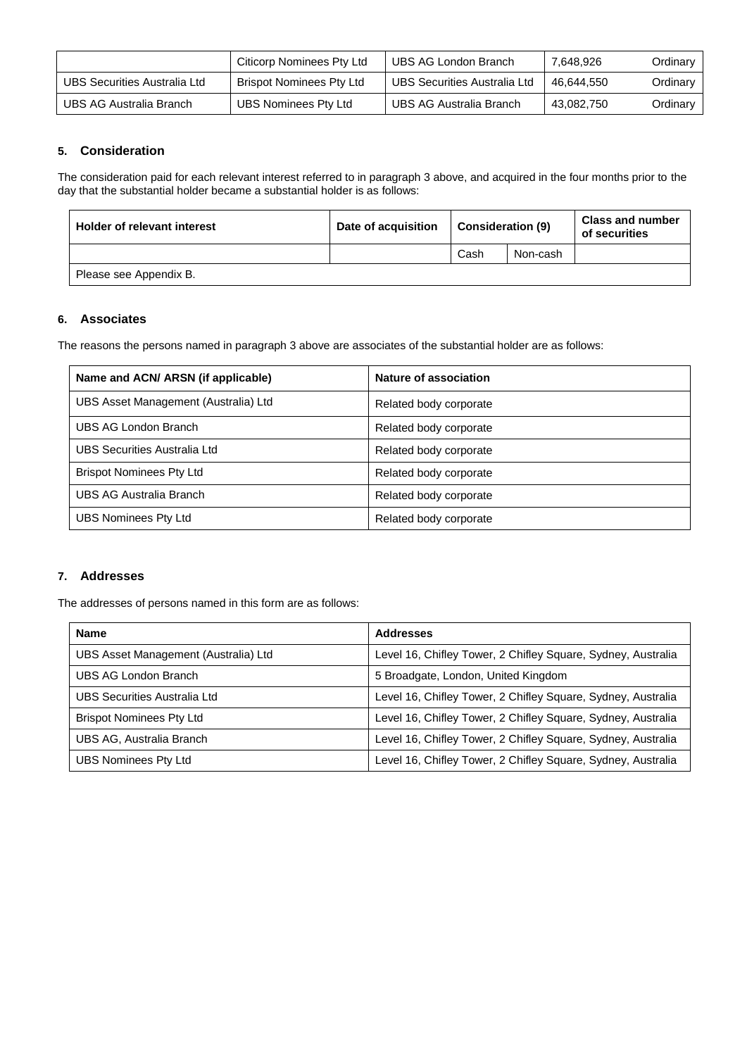|                              | Citicorp Nominees Pty Ltd | UBS AG London Branch         | 7,648,926  | Ordinarv |
|------------------------------|---------------------------|------------------------------|------------|----------|
| UBS Securities Australia Ltd | Brispot Nominees Pty Ltd  | UBS Securities Australia Ltd | 46.644.550 | Ordinarv |
| UBS AG Australia Branch      | UBS Nominees Pty Ltd      | UBS AG Australia Branch      | 43,082,750 | Ordinary |

#### **5. Consideration**

The consideration paid for each relevant interest referred to in paragraph 3 above, and acquired in the four months prior to the day that the substantial holder became a substantial holder is as follows:

| <b>Holder of relevant interest</b> | Date of acquisition | <b>Consideration (9)</b> |          | <b>Class and number</b><br>of securities |
|------------------------------------|---------------------|--------------------------|----------|------------------------------------------|
|                                    |                     | Cash                     | Non-cash |                                          |
| Please see Appendix B.             |                     |                          |          |                                          |

#### **6. Associates**

The reasons the persons named in paragraph 3 above are associates of the substantial holder are as follows:

| Name and ACN/ ARSN (if applicable)   | Nature of association  |
|--------------------------------------|------------------------|
| UBS Asset Management (Australia) Ltd | Related body corporate |
| UBS AG London Branch                 | Related body corporate |
| UBS Securities Australia Ltd         | Related body corporate |
| <b>Brispot Nominees Pty Ltd</b>      | Related body corporate |
| UBS AG Australia Branch              | Related body corporate |
| <b>UBS Nominees Pty Ltd</b>          | Related body corporate |

#### **7. Addresses**

The addresses of persons named in this form are as follows:

| <b>Name</b>                          | <b>Addresses</b>                                             |
|--------------------------------------|--------------------------------------------------------------|
| UBS Asset Management (Australia) Ltd | Level 16, Chifley Tower, 2 Chifley Square, Sydney, Australia |
| UBS AG London Branch                 | 5 Broadgate, London, United Kingdom                          |
| UBS Securities Australia Ltd         | Level 16, Chifley Tower, 2 Chifley Square, Sydney, Australia |
| <b>Brispot Nominees Pty Ltd</b>      | Level 16, Chifley Tower, 2 Chifley Square, Sydney, Australia |
| UBS AG, Australia Branch             | Level 16, Chifley Tower, 2 Chifley Square, Sydney, Australia |
| <b>UBS Nominees Pty Ltd</b>          | Level 16, Chifley Tower, 2 Chifley Square, Sydney, Australia |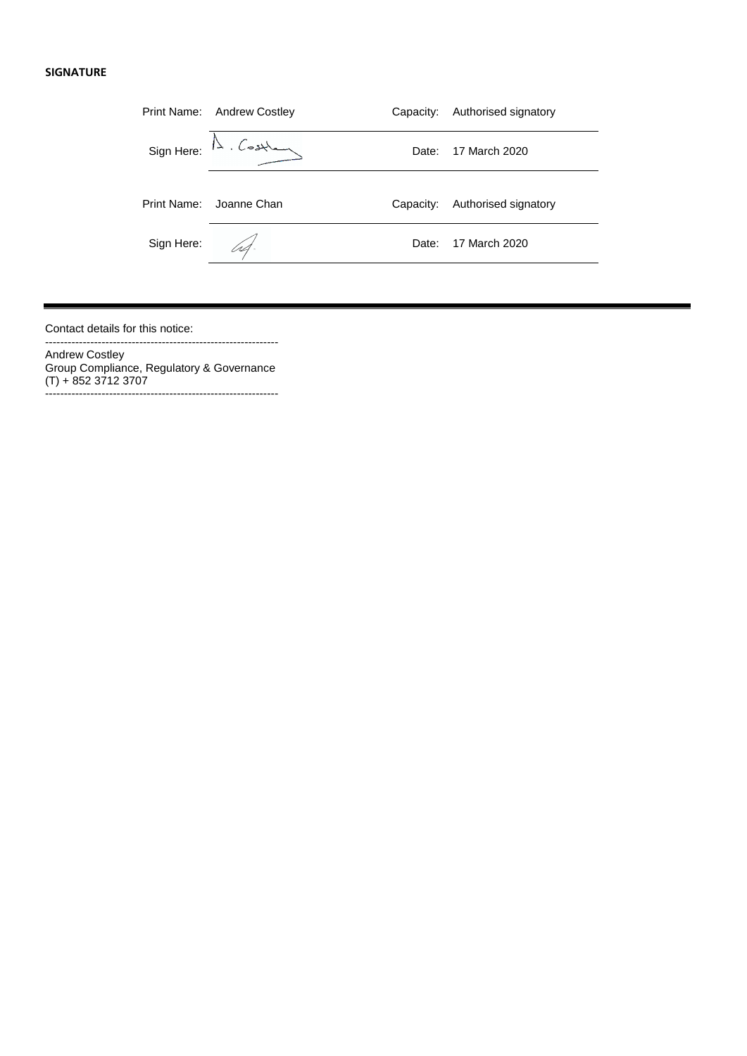#### **SIGNATURE**

|             | Print Name: Andrew Costley         | Capacity: | Authorised signatory |
|-------------|------------------------------------|-----------|----------------------|
|             | $Sign Here: \mathbb{A}$ . Costland | Date: .   | 17 March 2020        |
| Print Name: | Joanne Chan                        | Capacity: | Authorised signatory |
| Sign Here:  |                                    | Date:     | 17 March 2020        |
|             |                                    |           |                      |

Contact details for this notice:

Andrew Costley Group Compliance, Regulatory & Governance (T) + 852 3712 3707 --------------------------------------------------------------

--------------------------------------------------------------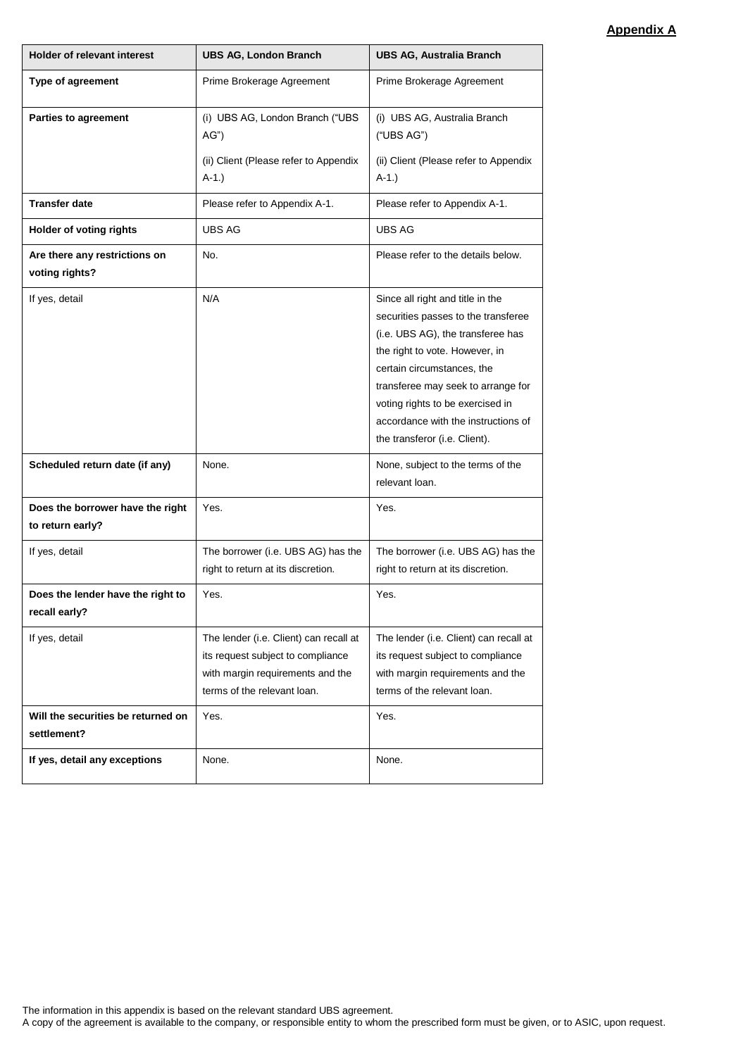### **Appendix A**

| <b>Holder of relevant interest</b>                   | <b>UBS AG, London Branch</b>                                                                                                                   | <b>UBS AG, Australia Branch</b>                                                                                                                                                                                                                                                                                                |
|------------------------------------------------------|------------------------------------------------------------------------------------------------------------------------------------------------|--------------------------------------------------------------------------------------------------------------------------------------------------------------------------------------------------------------------------------------------------------------------------------------------------------------------------------|
| Type of agreement                                    | Prime Brokerage Agreement                                                                                                                      | Prime Brokerage Agreement                                                                                                                                                                                                                                                                                                      |
| Parties to agreement                                 | (i) UBS AG, London Branch ("UBS<br>AG'<br>(ii) Client (Please refer to Appendix<br>$A-1.$ )                                                    | (i) UBS AG, Australia Branch<br>("UBS AG")<br>(ii) Client (Please refer to Appendix<br>$A-1.$ )                                                                                                                                                                                                                                |
| <b>Transfer date</b>                                 | Please refer to Appendix A-1.                                                                                                                  | Please refer to Appendix A-1.                                                                                                                                                                                                                                                                                                  |
| Holder of voting rights                              | <b>UBS AG</b>                                                                                                                                  | UBS AG                                                                                                                                                                                                                                                                                                                         |
| Are there any restrictions on<br>voting rights?      | No.                                                                                                                                            | Please refer to the details below.                                                                                                                                                                                                                                                                                             |
| If yes, detail                                       | N/A                                                                                                                                            | Since all right and title in the<br>securities passes to the transferee<br>(i.e. UBS AG), the transferee has<br>the right to vote. However, in<br>certain circumstances, the<br>transferee may seek to arrange for<br>voting rights to be exercised in<br>accordance with the instructions of<br>the transferor (i.e. Client). |
| Scheduled return date (if any)                       | None.                                                                                                                                          | None, subject to the terms of the<br>relevant loan.                                                                                                                                                                                                                                                                            |
| Does the borrower have the right<br>to return early? | Yes.                                                                                                                                           | Yes.                                                                                                                                                                                                                                                                                                                           |
| If yes, detail                                       | The borrower (i.e. UBS AG) has the<br>right to return at its discretion.                                                                       | The borrower (i.e. UBS AG) has the<br>right to return at its discretion.                                                                                                                                                                                                                                                       |
| Does the lender have the right to<br>recall early?   | Yes.                                                                                                                                           | Yes.                                                                                                                                                                                                                                                                                                                           |
| If yes, detail                                       | The lender (i.e. Client) can recall at<br>its request subject to compliance<br>with margin requirements and the<br>terms of the relevant loan. | The lender (i.e. Client) can recall at<br>its request subject to compliance<br>with margin requirements and the<br>terms of the relevant loan.                                                                                                                                                                                 |
| Will the securities be returned on<br>settlement?    | Yes.                                                                                                                                           | Yes.                                                                                                                                                                                                                                                                                                                           |
| If yes, detail any exceptions                        | None.                                                                                                                                          | None.                                                                                                                                                                                                                                                                                                                          |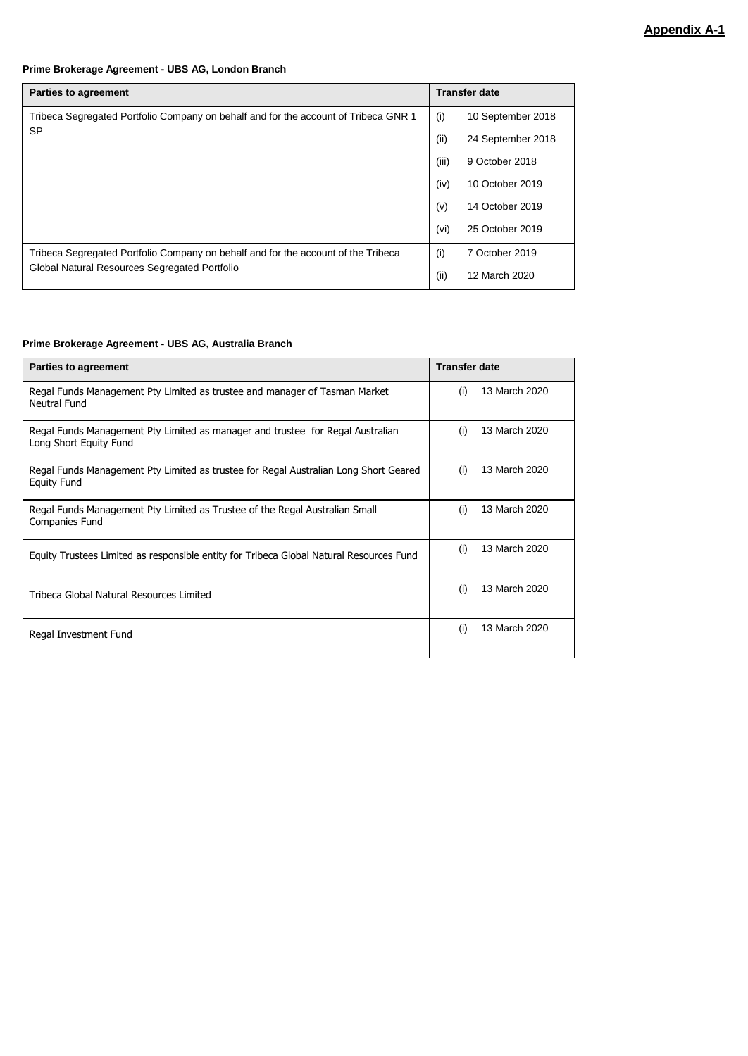#### **Prime Brokerage Agreement - UBS AG, London Branch**

| <b>Parties to agreement</b>                                                         |       | <b>Transfer date</b> |  |
|-------------------------------------------------------------------------------------|-------|----------------------|--|
| Tribeca Segregated Portfolio Company on behalf and for the account of Tribeca GNR 1 | (i)   | 10 September 2018    |  |
| <b>SP</b>                                                                           | (ii)  | 24 September 2018    |  |
|                                                                                     | (iii) | 9 October 2018       |  |
|                                                                                     | (iv)  | 10 October 2019      |  |
|                                                                                     | (v)   | 14 October 2019      |  |
|                                                                                     | (vi)  | 25 October 2019      |  |
| Tribeca Segregated Portfolio Company on behalf and for the account of the Tribeca   | (i)   | 7 October 2019       |  |
| Global Natural Resources Segregated Portfolio                                       | (iii) | 12 March 2020        |  |

#### **Prime Brokerage Agreement - UBS AG, Australia Branch**

| <b>Parties to agreement</b>                                                                                |     | <b>Transfer date</b> |
|------------------------------------------------------------------------------------------------------------|-----|----------------------|
| Regal Funds Management Pty Limited as trustee and manager of Tasman Market<br>Neutral Fund                 | (i) | 13 March 2020        |
| Regal Funds Management Pty Limited as manager and trustee for Regal Australian<br>Long Short Equity Fund   | (i) | 13 March 2020        |
| Regal Funds Management Pty Limited as trustee for Regal Australian Long Short Geared<br><b>Equity Fund</b> | (i) | 13 March 2020        |
| Regal Funds Management Pty Limited as Trustee of the Regal Australian Small<br>Companies Fund              | (i) | 13 March 2020        |
| Equity Trustees Limited as responsible entity for Tribeca Global Natural Resources Fund                    | (i) | 13 March 2020        |
| Tribeca Global Natural Resources Limited                                                                   | (i) | 13 March 2020        |
| Regal Investment Fund                                                                                      | (i) | 13 March 2020        |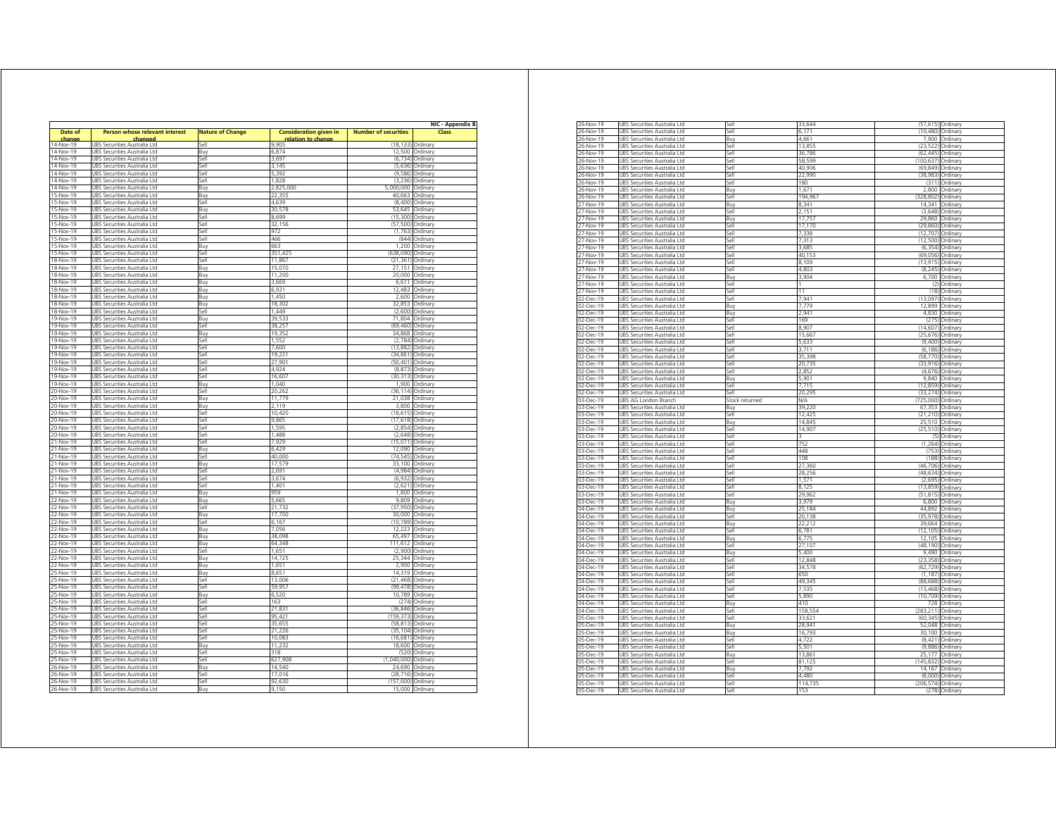|                        |                                                              |                         |                               |                             | NIC - Appendix B           |
|------------------------|--------------------------------------------------------------|-------------------------|-------------------------------|-----------------------------|----------------------------|
| Date of                | <b>Person whose relevant interest</b>                        | <b>Nature of Change</b> | <b>Consideration given in</b> | <b>Number of securities</b> | Class                      |
| change                 | changed                                                      |                         | relation to change            |                             |                            |
| 14-Nov-19              | UBS Securities Australia Ltd                                 | Sell                    | 9905                          | (18.133)                    | Ordinary                   |
| 14-Nov-19              | UBS Securities Australia Ltd                                 | Buy                     | 6,874                         |                             | 12,500 Ordinary            |
| 14-Nov-19<br>14-Nov-19 | UBS Securities Australia Ltd                                 | Sell<br>Sell            | 3,697<br>3,145                | (6, 734)<br>(5,636)         | Ordinary<br>Ordinan        |
|                        | UBS Securities Australia Ltd                                 |                         |                               |                             |                            |
| 14-Nov-19<br>14-Nov-19 | UBS Securities Australia Ltd                                 | Sell<br>Sell            | 5,392<br>1,828                | (9,586)<br>(3, 236)         | Ordinary<br>Ordinary       |
| 14-Nov-19              | UBS Securities Australia Ltd                                 |                         | 2,825,000                     |                             |                            |
| 15-Nov-19              | UBS Securities Australia Ltd                                 | Buy                     | 22355                         | 5,000,000<br>40.663         | Ordinary<br>Ordinary       |
|                        | UBS Securities Australia Ltd                                 | <b>Buv</b>              | 4.639                         | (8,400)                     |                            |
| 15-Nov-19              | JBS Securities Australia Ltd                                 | 5ell                    |                               |                             | Ordinary                   |
| 15-Nov-19              | JBS Securities Australia Ltd                                 | Buy                     | 30.578                        | 53,645                      | Ordinary                   |
| 15-Nov-19              | UBS Securities Australia Ltd                                 | Sell<br>Sell            | 8.699<br>32 156               | (15, 300)<br>(57, 500)      | Ordinary                   |
| 15-Nov-19<br>15-Nov-19 | UBS Securities Australia Ltd<br>UBS Securities Australia Ltd | Sell                    | 972                           | (1,763)                     | Ordinan<br>Ordinary        |
|                        |                                                              |                         |                               | (844)                       |                            |
| 15-Nov-19<br>15-Nov-19 | UBS Securities Australia Ltd<br>UBS Securities Australia Ltd | Sell<br>Buy             | 466<br>663                    |                             | Ordinary<br>1,200 Ordinary |
| 15-Nov-19              |                                                              | Sell                    | 351,425                       |                             |                            |
| 18-Nov-19              | UBS Securities Australia Ltd<br>UBS Securities Australia Ltd | Sell                    | 11,867                        | (638,090)<br>(21, 361)      | Ordinary<br>Ordinary       |
| 18-Nov-19              | UBS Securities Australia Ltd                                 | <b>Buv</b>              | 15.070                        | 27.151                      | Ordinary                   |
| 18-Nov-19              | JBS Securities Australia Ltd                                 | Buy                     | 11,200                        | 20,000                      | Ordinary                   |
| 18-Nov-19              |                                                              |                         | 3.669                         |                             | Ordinary                   |
| 18-Nov-19              | UBS Securities Australia Ltd<br>UBS Securities Australia Ltd | Buy<br>Buy              | 6,931                         | 6,611<br>12,483             | Ordinary                   |
| 18-Nov-19              | UBS Securities Australia Ltd                                 | Buy                     | 1,450                         | 2,600                       | Ordinary                   |
| 18-Nov-19              | UBS Securities Australia Ltd                                 | Buy                     | 18,302                        | 32,853                      | Ordinary                   |
| 18-Nov-19              | JBS Securities Australia Ltd                                 | Sell                    | 1.449                         | (2,600)                     | Ordinan                    |
| 19-Nov-19              | UBS Securities Australia Ltd                                 | Buy                     | 39,533                        | 71,804                      | Ordinary                   |
| 19-Nov-19              | UBS Securities Australia Ltd                                 | Sell                    | 38,257                        | (69, 460)                   | Ordinary                   |
| 19-Nov-19              | URS Securities Australia I td                                | Buy                     | 19.352                        | 34.868                      | Ordinary                   |
| 19-Nov-19              | JBS Securities Australia Ltd                                 | Sell                    | 1,552                         | (2, 784)                    | Ordinary                   |
| 19-Nov-19              | JBS Securities Australia Ltd                                 | 5ell                    | 7.600                         | (13, 882)                   | Ordinarv                   |
| 19-Nov-19              | UBS Securities Australia Ltd                                 | Sell                    | 19 221                        | (34, 861)                   | Ordinary                   |
| 19-Nov-19              | UBS Securities Australia Ltd                                 | Sell                    | 27,901                        | (50, 401)                   | Ordinary                   |
| 19-Nov-19              | UBS Securities Australia Ltd                                 | Sell                    | 4974                          | (8.873)                     | Ordinary                   |
| 19-Nov-19              | UBS Securities Australia Ltd                                 | Sell                    | 16,607                        | (30, 313)                   | Ordinary                   |
| 19-Nov-19              | UBS Securities Australia Ltd                                 | Buy                     | 1,040                         | 1,900                       | Ordinary                   |
| 20-Nov-19              | UBS Securities Australia Ltd                                 | Sell                    | 20,262                        | (36, 114)                   | Ordinary                   |
| 20-Nov-19              | UBS Securities Australia Ltd                                 | Buy                     | 11,779                        | 21,038                      | Ordinary                   |
| 20-Nov-19              | UBS Securities Australia Ltd                                 | Buy                     | 2.119                         | 3,800                       | Ordinan                    |
| 20-Nov-19              | JBS Securities Australia Ltd                                 | <b>Sell</b>             | 10 420                        | (18, 615)                   | Ordinary                   |
| 20-Nov-19              | UBS Securities Australia Ltd                                 | Sell                    | 9,865                         | (17, 618)                   | Ordinary                   |
| 20-Nov-19              | UBS Securities Australia Ltd                                 | Sell                    | 1,595                         | (2,854)                     | Ordinary                   |
| 20-Nov-19              | UBS Securities Australia Ltd                                 | Sell                    | 1,488                         | (2, 648)                    | Ordinary                   |
| 21-Nov-19              | UBS Securities Australia I td                                | Sell                    | 7.929                         | (15.071)                    | Ordinan                    |
| 21-Nov-19              | UBS Securities Australia Ltd                                 | Buy                     | 6,429                         | 12,090                      | Ordinan                    |
| 21-Nov-19              | UBS Securities Australia Ltd                                 | Sell                    | 40,000                        | (74, 545)                   | Ordinary                   |
| 21-Nov-19              | UBS Securities Australia Ltd                                 | Buv                     | 17,579                        | 33,100                      | Ordinary                   |
| 21-Nov-19              | UBS Securities Australia Ltd                                 | Sell                    | 2,691                         | (4,984)                     | Ordinary                   |
| 21-Nov-19              | UBS Securities Australia Ltd                                 | Sell                    | 3674                          | (6, 932)                    | Ordinary                   |
| 21-Nov-19              | UBS Securities Australia Ltd                                 | <b>Sell</b>             | 1,401                         | (2,621)                     | Ordinary                   |
| 21-Nov-19              | JBS Securities Australia Ltd                                 | Buy                     | 959                           | 1,800                       | Ordinary                   |
| 22-Nov-19              | UBS Securities Australia Ltd                                 | Buy                     | 5.665                         | 9,809                       | Ordinary                   |
| 22-Nov-19              | UBS Securities Australia Ltd                                 | Sell                    | 21.732                        | (37, 950)                   | Ordinan                    |
| 22-Nov-19              | UBS Securities Australia Ltd                                 | Buy                     | 17,700                        | 30,000                      | Ordinan                    |
| 22-Nov-19              | UBS Securities Australia Ltd                                 | Sell                    | 6,167                         | (10, 789)                   | Ordinary                   |
| 22-Nov-19              | UBS Securities Australia Ltd                                 | Buy                     | 7,056                         | 12,223                      | Ordinary                   |
| 22-Nov-19              | UBS Securities Australia Ltd                                 | Buy                     | 38,098                        |                             | 65,497 Ordinary            |
| 22-Nov-19              | UBS Securities Australia Ltd                                 | Buy                     | 64,348                        | 111,612                     | Ordinary                   |
| 22-Nov-19              | UBS Securities Australia Ltd                                 | Sell                    | 1.651                         | (2900)                      | Ordinary                   |
| 22-Nov-19              | JBS Securities Australia Ltd                                 | Buy                     | 14,725                        | 25,344                      | Ordinary                   |
| 22-Nov-19              | JBS Securities Australia Ltd                                 | Buy                     | 1,651                         | 2,900                       | Ordinary                   |
| 25-Nov-19              | UBS Securities Australia Ltd                                 | Buy                     | 8.651                         | 14,319                      | Ordinary                   |
| 25-Nov-19              | UBS Securities Australia Ltd                                 | <b>Sell</b>             | 13,006                        | (21, 468)                   | Ordinary                   |
| 25-Nov-19              | UBS Securities Australia Ltd                                 | Sell                    | 59,957                        | (99, 478)                   | Ordinary                   |
| 25-Nov-19              | UBS Securities Australia Ltd                                 | Buy                     | 6,520                         | 10,789                      | Ordinary                   |
| 25-Nov-19              | UBS Securities Australia Ltd                                 | Sell                    | 163                           | (274)                       | Ordinary                   |
| 25-Nov-19              | UBS Securities Australia Ltd                                 | Sell                    | 21,831                        | (36, 846)                   | Ordinary                   |
| 25-Nov-19              | URS Securities Australia I td                                | Sell                    | 95 421                        | (159, 373)                  | Ordinary                   |
| 25-Nov-19              | JBS Securities Australia Ltd                                 | Sell                    | 35,655                        | (58, 813)                   | Ordinary                   |
| 25-Nov-19              | JBS Securities Australia Ltd                                 | <b>Sell</b>             | 21.226                        | (35, 104)                   | Ordinary                   |
| 25-Nov-19              | UBS Securities Australia Ltd                                 | Sell                    | 10,083                        | (16, 681)                   | Ordinarv                   |
| 25-Nov-19              | UBS Securities Australia Ltd                                 | Buy                     | 11,232                        | 18,600                      | Ordinary                   |
| 25-Nov-19              | UBS Securities Australia Ltd                                 | Sell                    | 318                           | (520)                       | Ordinary                   |
| 25-Nov-19              | UBS Securities Australia Ltd                                 | Sell                    | 627,908                       | (1,040,000)                 | Ordinary                   |
| 26-Nov-19              | UBS Securities Australia Ltd                                 | Buy                     | 14,540                        | 24.690                      | Ordinary                   |
| 26-Nov-19              | UBS Securities Australia Ltd                                 | Sell                    | 17.016                        | (28, 716)                   | Ordinan                    |
|                        | UBS Securities Australia Ltd                                 | Sell                    | 92.630                        | (157,000) Ordinary          |                            |
| 26-Nov-19<br>26-Nov-19 | UBS Securities Australia Ltd                                 | Buy                     | 9,150                         |                             | 15,000 Ordinary            |

| 26-Nov-19              | UBS Securities Australia Ltd                                        | Sell           | 33.644           |                     | (57,615) Ordinary    |
|------------------------|---------------------------------------------------------------------|----------------|------------------|---------------------|----------------------|
| 26-Nov-19              | UBS Securities Australia Ltd                                        | ie.            | 6 1 7 1          | (10, 480)           | Ordinary             |
| 26-Nov-19              | UBS Securities Australia Ltd                                        | Buy            | 4,661            | 7,900               | Ordinary             |
| 26-Nov-19              | UBS Securities Australia Ltd                                        | Sell           | 13.855           | (23.522)            | Ordinary             |
| 26-Nov-19              | UBS Securities Australia Ltd                                        | <b>I</b> le2   | 36,786           | (62, 445)           | Ordinary             |
| 26-Nov-19              | UBS Securities Australia I td                                       | $\frac{1}{2}$  | 58.599           | (100 637            | Ordinary             |
| 26-Nov-19              | UBS Securities Australia Ltd                                        | iell           | 40,906           | (69, 849)           | Ordinary             |
| 26-Nov-19              | UBS Securities Australia Ltd                                        | $\frac{1}{2}$  | 22,990           | (38 983             | Ordinary             |
| 26-Nov-19              | UBS Securities Australia Ltd                                        | iell           | 180              | (311)               | Ordinarv             |
| 26-Nov-19              | UBS Securities Australia Ltd                                        | Buy            | 1,671            | 2,800               | Ordinary             |
| 26-Nov-19              | UBS Securities Australia Ltd                                        | Sell           | 194,967          | (328, 802)          | Ordinary             |
| 27-Nov-19              | UBS Securities Australia Ltd                                        | <b>Bury</b>    | 8 341            | 14 341              | Ordinary             |
| 27-Nov-19              | UBS Securities Australia Ltd                                        | <b>Sell</b>    | 2 1 5 1          | (3,648)             | Ordinary             |
| 27-Nov-19              | UBS Securities Australia Ltd                                        | Buy            | 17,757           | 29,860              | Ordinary             |
| 27-Nov-19              | UBS Securities Australia Ltd                                        | Sell           | 17,170           | (29, 860)           | Ordinary             |
| 27-Nov-19              | UBS Securities Australia Ltd                                        | Sell           | 7,338            | (12, 707)           | Ordinary             |
| 27-Nov-19              | URS Securities Australia Ltd                                        | 5ell           | 7.313            | (12.500)            | Ordinary             |
| 27-Nov-19              | UBS Securities Australia Ltd                                        | iell           | 3,685            | (6, 354)            | Ordinary             |
| 27-Nov-19              | UBS Securities Australia Ltd                                        | iell           | 40,153           | (69, 056)           | Ordinary             |
| 27-Nov-19              | UBS Securities Australia Ltd                                        | <b>Sell</b>    | 8,109            | (13, 915)           | Ordinarv             |
| 27-Nov-19              | UBS Securities Australia Ltd                                        | Sell           | 4,803            | (8, 245)            | Ordinary             |
| 27-Nov-19              | UBS Securities Australia Ltd                                        | Buv            | 3 904            | 6,700               | Ordinary             |
| 27-Nov-19              | UBS Securities Australia Ltd                                        | <b>Sell</b>    |                  | (2)                 | Ordinary             |
| 27-Nov-19              | UBS Securities Australia Ltd                                        | <b>Sell</b>    |                  | (18)                | Ordinary             |
| 02-Dec-19              | UBS Securities Australia Ltd                                        | Sell           | 7,941            | (13.097)            | Ordinary             |
| 02-Dec-19              | UBS Securities Australia Ltd                                        | Buy            | 7,779            | 12,899              | Ordinary             |
| 02-Dec-19              | UBS Securities Australia Ltd                                        | Buv            | 2.941            | 4.830               | Ordinary             |
| 02-Dec-19              | UBS Securities Australia Ltd                                        | iell           | 169              | (275)               | Ordinary             |
| $02 - Dec - 19$        | UBS Securities Australia Ltd                                        | iell           | 8,907            | (14, 607)           | Ordinary             |
| 02-Dec-19              | UBS<br>Securities Australia Ltd                                     | iell           | 15,66            | .676                | Ordinary             |
| 02-Dec-19              | UBS Securities Australia Ltd                                        | Sell           | 5,633            | (9,400)             | Ordinary             |
| 02-Dec-19              | UBS Securities Australia Ltd                                        | <b>Sell</b>    | 3711             | (6, 186)            | Ordinary             |
| 02-Dec-19              | UBS Securities Australia Ltd                                        | Sell           | 35,398           | (58, 770)           | Ordinary             |
| 02-Dec-19              | UBS Securities Australia Ltd                                        | <b>Sell</b>    | 20,735           | (33916)             | Ordinary             |
| 02-Dec-19              | UBS Securities Australia Ltd                                        | Sell           | 2,852            | (4,676)             | Ordinary             |
| 02-Dec-19              | UBS Securities Australia Ltd                                        | Buy            | 5,901            | 9.840               | Ordinary             |
| 02-Dec-19              | UBS Securities Australia Ltd                                        | Sell           | 7,715            | (12, 859)           | Ordinary             |
| 02-Dec-19              | URS Securities Australia Ltd                                        | Sell           | 20.295           | (33.274)            | Ordinary             |
| 03-Dec-19              | UBS AG London Branch                                                | stock returned | NΑ               | (725,000)           | Ordinary             |
| 03-Dec-19              | UBS Securities Australia Ltd                                        | Buy            | 39,220           | 67,353              | Ordinary             |
| 03-Dec-19              | UBS Securities Australia Ltd                                        | Sell           | 12 425           | (21.210)            | Ordinary             |
| 03-Dec-19              | UBS Securities Australia Ltd                                        | Buy            | 14,845           | 25,510              | Ordinary             |
|                        |                                                                     |                |                  |                     |                      |
| 03-Dec-19              | UBS Securities Australia Ltd                                        | Sell           | 14,907           | (25, 510)           | Ordinan              |
| 03-Dec-19              | UBS Securities Australia Ltd                                        | iρ.            |                  | $\sqrt{5}$          | Ordinary             |
| 03-Dec-19              | UBS Securities Australia Ltd                                        | Sell           | 752              | (1, 264)            | Ordinary             |
| 03-Dec-19              | UBS Securities Australia Ltd                                        | <b>I</b> le2   | 448              | (753)               | Ordinary             |
| 03-Dec-19              | UBS Securities Australia Ltd                                        | Sell           | 108              | (188)               | Ordinary             |
| 03-Dec-19              | UBS Securities Australia Ltd                                        | Sell           | 27,360           | (46, 706)           | Ordinary             |
| 03-Dec-19              | UBS Securities Australia Ltd                                        | iell           | 28 256           | (48.634)            | Ordinary             |
| 03-Dec-19              | UBS Securities Australia Ltd                                        | iell           | 1,571            | (2,695)             | Ordinary             |
| 03-Dec-19              | <b>UBS</b><br>Securities Australia Ltd                              | iell           | 8.125            | (13, 859)           | Ordinary             |
| 03-Dec-19              | UBS Securities Australia Ltd                                        | Sell           | 29,962           | (51, 815)           | Ordinary             |
| 03-Dec-19              | UBS Securities Australia Ltd                                        | Buv            | 3979             | 6.800               | Ordinary             |
| 04-Dec-19              | UBS Securities Australia Ltd                                        | Buy            | 25,184           | 44,892              | Ordinan              |
| 04-Dec-19              | UBS Securities Australia Ltd                                        | <b>Sell</b>    | 20,138           | (35, 978)           | Ordinary             |
| 04-Dec-19              | UBS Securities Australia Ltd                                        | Buy            | 22,212           | 39,664              | Ordinary             |
| 04-Dec-19              | UBS Securities Australia Ltd                                        | Sell           | 6,781            | (12, 105)           | Ordinary             |
| 04-Dec-19              | UBS Securities Australia Ltd                                        | Buy            | 6,775            | 12,105              | Ordinary             |
| 04-Dec-19              | UBS Securities Australia Ltd                                        | <b>I</b> le2   | 27,107           | (48, 190)           | Ordinary             |
| 04-Dec-19              | UBS Securities Australia Ltd                                        | Buy            | 5400             | 9.490               | Ordinary             |
| 04-Dec-19              | UBS Securities Australia Ltd                                        | iell           | 12,848           | (23, 358)           | Ordinary             |
| 04-Dec-19              | UBS Securities Australia Ltd                                        | Sell           | 34,578           | (62, 729)           | Ordinary             |
| 04-Dec-19              | UBS Securities Australia Ltd                                        | lle?           | 650              | (1, 187)            | Ordinary             |
| 04-Dec-19              | UBS Securities Australia Ltd                                        | -<br>Sell      | 49.345           | (88.688)            | Ordinan              |
| 04-Dec-19              | UBS Securities Australia Ltd                                        | $\frac{1}{2}$  | 7,535            | (13, 468)           | Ordinary             |
|                        | UBS Securities Australia Ltd                                        | Sell           | 5,890            | (10, 709)           | Ordinary             |
| 04-Dec-19<br>04-Dec-19 | UBS Securities Australia Ltd                                        | Buv            | 410              | 728                 | Ordinary             |
|                        |                                                                     | Sell           |                  | (283, 211)          | Ordinary             |
| 04-Dec-19<br>05-Dec-19 | UBS Securities Australia Ltd                                        | Sell           | 158,554          |                     | Ordinary             |
| 05-Dec-19              | UBS Securities Australia Ltd<br>UBS Securities Australia Ltd        |                | 33,621<br>28,941 | (60, 345)<br>52,048 | Ordinary             |
|                        |                                                                     | Buy            |                  | 30.100              |                      |
| 05-Dec-19              | UBS Securities Australia Ltd                                        | Buy            | 16,793           |                     | Ordinary             |
| 05-Dec-19              | UBS Securities Australia Ltd                                        | Sell           | 4,722            | (8, 421)<br>(9.886) | Ordinary             |
| 05-Dec-19              | UBS Securities Australia Ltd                                        | Sell<br>Buv    | 5.501            |                     | Ordinary             |
| 05-Dec-19              | UBS Securities Australia Ltd                                        |                | 13.861           | 25,177              | Ordinary             |
| 05-Dec-19              | UBS Securities Australia Ltd                                        | -<br>Sell      | 81.125           | (145.832)           | Ordinary             |
| 05-Dec-19              | UBS Securities Australia Ltd                                        | Buy            | 7.792            | 14,167              | Ordinary             |
| 05-Dec-19              | UBS Securities Australia Ltd                                        | Sell           | 4480             | (8,000)             | Ordinary             |
| 05-Dec-19<br>05-Dec-19 | UBS Securities Australia Ltd<br><b>UBS Securities Australia Ltd</b> | Sell<br>Sell   | 114,735<br>153   | (206, 574)<br>(278) | Ordinary<br>Ordinary |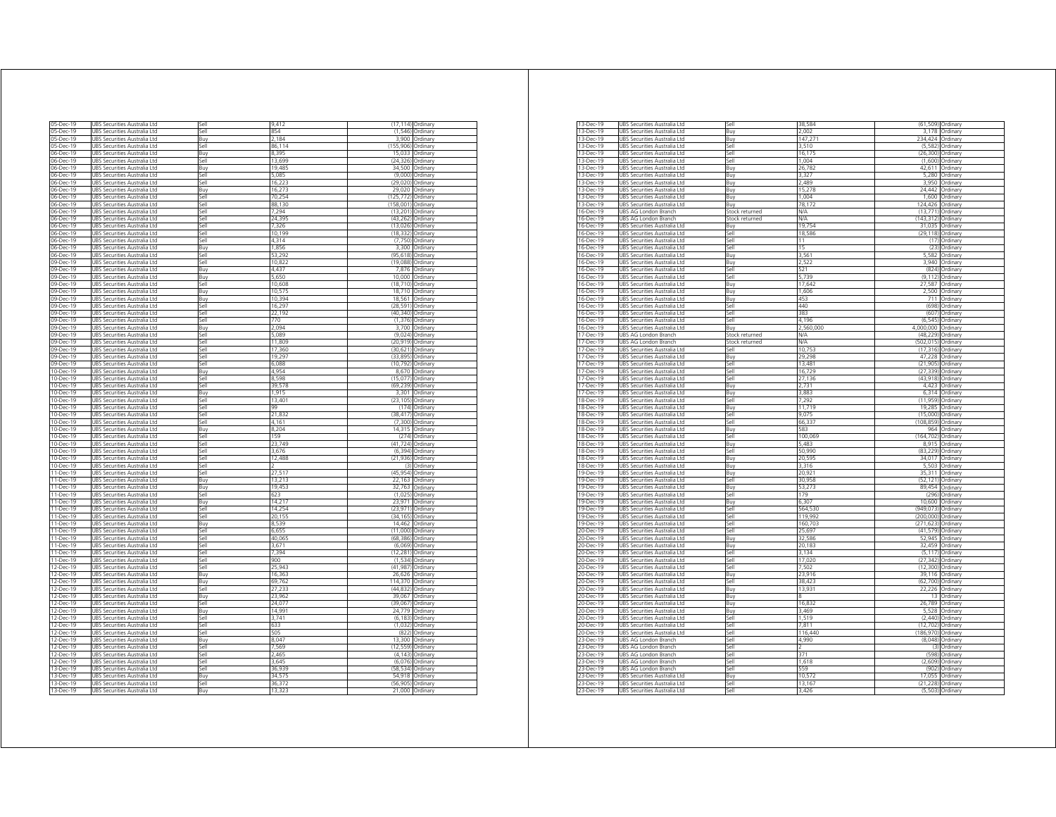| 05-Dec-19                                                                  | UBS Securities Australia Ltd                                 | Sell        | 9,412            | (17, 114)         | Ordinary             |
|----------------------------------------------------------------------------|--------------------------------------------------------------|-------------|------------------|-------------------|----------------------|
| 05-Dec-19                                                                  | UBS Securities Australia Ltd                                 | Sell        | 854              | (1, 546)          | Ordinary             |
| 05-Dec-19                                                                  | UBS Securities Australia Ltd                                 | Buy         | 2.184            |                   | 3,900 Ordinary       |
| 05-Dec-19                                                                  | UBS Securities Australia Ltd                                 | Sell        | 86,114           | (155,906)         | Ordinary             |
|                                                                            |                                                              |             |                  |                   |                      |
| 06-Dec-19                                                                  | URS Securities Australia I td                                | <b>Buv</b>  | 8.395            | 15.033            | Ordinary             |
| 06-Dec-19                                                                  | JBS Securities Australia Ltd                                 | sell        | 13.699           | (24.326)          | Ordinary             |
| 06-Dec-19                                                                  | UBS Securities Australia Ltd                                 | Buy         | 19,485           | 34,500            | Ordinary             |
| 06-Dec-19                                                                  | UBS Securities Australia Ltd                                 | Sell        | 5.085            | (9,000)           | Ordinan              |
|                                                                            |                                                              |             |                  |                   |                      |
| 06-Dec-19                                                                  | UBS Securities Australia Ltd                                 | Sell        | 16,223           | (29, 020)         | Ordinary             |
| 06-Dec-19                                                                  | URS Securities Australia I td                                | <b>Buv</b>  | 16.273           | 29.020            | Ordinan              |
| 06-Dec-19                                                                  | UBS Securities Australia Ltd                                 | Sell        | 70.254           | (125.772          | Ordinary             |
| 06-Dec-19                                                                  | UBS Securities Australia Ltd                                 | Sell        | 88.130           | (158.001)         | Ordinary             |
|                                                                            |                                                              |             |                  |                   |                      |
| 06-Dec-19                                                                  | UBS Securities Australia Ltd                                 | Sell        | 7.294            | (13,201)          | Ordinary             |
| 06-Dec-19                                                                  | UBS Securities Australia Ltd                                 | Sell        | 24,395           | (43.262)          | Ordinary             |
| 06-Dec-19                                                                  | JBS Securities Australia Ltd                                 | sell        | 7,326            | (13, 026)         | Ordinary             |
|                                                                            |                                                              |             |                  | (18.33)           |                      |
| 06-Dec-19                                                                  | JBS Securities Australia Ltd                                 | sell        | 10,199           |                   | Ordinary             |
| 06-Dec-19                                                                  | UBS Securities Australia Ltd                                 | Sell        | 4,314            | (7, 750)          | Ordinary             |
| 06-Dec-19                                                                  | UBS Securities Australia Ltd                                 | Buy         | 1,856            | 3,300             | Ordinary             |
| 06-Dec-19                                                                  | URS Securities Australia I td                                | Sell        | 53.292           | (95.618)          | Ordinan              |
|                                                                            |                                                              |             |                  |                   |                      |
| 09-Dec-19                                                                  | JBS Securities Australia Ltd                                 | Sell        | 10,822           | (19 088           | Ordinary             |
| 09-Dec-19                                                                  | UBS Securities Australia Ltd                                 | Buv         | 4,437            | 7,876             | Ordinary             |
| 09-Dec-19                                                                  | UBS Securities Australia Ltd                                 | Buy         | 5.650            | 10,000            | Ordinary             |
| 09-Dec-19                                                                  |                                                              | Sell        | 10,608           |                   |                      |
|                                                                            | UBS Securities Australia Ltd                                 |             |                  | (18, 710)         | Ordinary             |
| 09-Dec-19                                                                  | URS Securities Australia I td                                | <b>Buv</b>  | 10.575           | 18 710            | Ordinary             |
| 09-Dec-19                                                                  | JBS Securities Australia Ltd                                 | Buy         | 10.394           | 18,561            | Ordinary             |
| 09-Dec-19                                                                  | JBS Securities Australia Ltd                                 | sell        | 16.297           | (28)<br>591       | <b>Drdinary</b>      |
|                                                                            |                                                              |             | 22 192           | (40, 340)         |                      |
| 09-Dec-19                                                                  | UBS Securities Australia Ltd                                 | Sell        |                  |                   | Ordinary             |
| 09-Dec-19                                                                  | UBS Securities Australia Ltd                                 | Sell        | 770              | (1376)            | Ordinary             |
| 09-Dec-19                                                                  | UBS Securities Australia Ltd                                 | Buy         | 2.094            | 3700              | Ordinary             |
| 09-Dec-19                                                                  | UBS Securities Australia Ltd                                 | Sell        | 5.089            | (9.024)           | Ordinary             |
|                                                                            |                                                              |             |                  |                   |                      |
| 09-Dec-19                                                                  | UBS Securities Australia Ltd                                 | Sell        | 11.809           | (20, 919)         | Ordinary             |
| 09-Dec-19                                                                  | UBS Securities Australia Ltd                                 | اام؟        | 17,360           | (30, 621)         | Ordinary             |
| 09-Dec-19                                                                  | UBS Securities Australia Ltd                                 | sell        | 19,297           | (33, 895)         | Ordinary             |
|                                                                            |                                                              |             |                  |                   |                      |
| 09-Dec-19                                                                  | JBS Securities Australia Ltd                                 | sell        | 6,088            | (10, 792)         | Ordinary             |
| 10-Dec-19                                                                  | UBS Securities Australia Ltd                                 | Buv         | 4954             | 8,670             | Ordinan              |
| 10-Dec-19                                                                  | UBS Securities Australia Ltd                                 | Sell        | 8598             | (15.077           | Ordinary             |
| 10-Dec-19                                                                  | UBS Securities Australia Ltd                                 | Sell        | 39.578           | (69.239)          | Ordinary             |
|                                                                            |                                                              |             |                  |                   |                      |
| $10 - Dec - 19$                                                            | URS Securities Australia I td                                | Buv         | 1.915            | 3.301             | Ordinan              |
| 10-Dec-19                                                                  | UBS Securities Australia Ltd                                 | Sell        | 13,40            | (23, 105)         | Ordinan              |
| 10-Dec-19                                                                  | UBS Securities Australia Ltd                                 | Sell        | 99               | (174)             | Ordinan              |
| 10-Dec-19                                                                  | UBS Securities Australia Ltd                                 | Sell        | 21.832           | (38, 417)         | Ordinary             |
|                                                                            |                                                              |             |                  |                   |                      |
| 10-Dec-19                                                                  | UBS Securities Australia Ltd                                 | ile?        | 4.161            | (7,300)           | Ordinary             |
| 10-Dec-19                                                                  | UBS Securities Australia Ltd                                 | 3uy         | 8,204            | 14,315            | Ordinary             |
| 10-Dec-19                                                                  | JBS Securities Australia Ltd                                 | sell        | 159              | (274)             | Ordinary             |
|                                                                            |                                                              |             |                  |                   |                      |
| 10-Dec-19                                                                  | UBS Securities Australia Ltd                                 | Sell        | 23.749           | (41.724)          | Ordinary             |
| 10-Dec-19                                                                  | UBS Securities Australia Ltd                                 | Sell        | 3.676            | (6, 394)          | Ordinan              |
| 10-Dec-19                                                                  | UBS Securities Australia Ltd                                 | Sell        | 12,488           | (21, 936)         | Ordinary             |
| 10-Dec-19                                                                  | UBS Securities Australia Ltd                                 | <b>Sell</b> |                  | (3)               | Ordinary             |
|                                                                            |                                                              |             |                  |                   |                      |
| 11-Dec-19                                                                  | UBS Securities Australia Ltd                                 | Sell        | 27.517           | (45.954)          | Ordinary             |
| 11-Dec-19                                                                  | UBS Securities Australia Ltd                                 | Buy         | 13,213           | 22.163            | Ordinary             |
| 11-Dec-19                                                                  | UBS Securities Australia Ltd                                 | Buy         | 19,453           | 32.763            | Ordinary             |
|                                                                            |                                                              |             |                  |                   |                      |
| 11-Dec-19                                                                  | UBS Securities Australia Ltd                                 | sell        | 623              | (1,025)           | Ordinary             |
| 11-Dec-19                                                                  | JBS Securities Australia Ltd                                 | 3uy         | 14,217           | 23 971            | Ordinary             |
| 11-Dec-19                                                                  | UBS Securities Australia Ltd                                 | Sell        | 14 254           | (23 971)          | Ordinan              |
| 11-Dec-19                                                                  | UBS Securities Australia Ltd                                 | Sell        | 20,155           | (34,165           | Ordinary             |
|                                                                            |                                                              |             |                  |                   |                      |
| 11-Dec-19                                                                  | UBS Securities Australia Ltd                                 | Buy         | 8539             | 14 462            | Ordinan              |
| 11-Dec-19                                                                  | <b>JBS Securities Australia Ltd</b>                          | Sell        | 6.655            | (11.000)          | Ordinan              |
| 11-Dec-19                                                                  | UBS Securities Australia Ltd                                 | Sell        | 40,065           | (68.386           | Ordinary             |
| 11-Dec-19                                                                  | UBS Securities Australia Ltd                                 | Sell        | 3,671            | (6,069)           | Ordinarv             |
|                                                                            |                                                              |             |                  |                   |                      |
| 11-Dec-19                                                                  | UBS Securities Australia Ltd                                 | Sell        | 7.394            | (12, 281)         | Ordinary             |
| 11-Dec-19                                                                  | UBS Securities Australia Ltd                                 | Sell        | 900              | (1, 534)          | Ordinary             |
| 12-Dec-19                                                                  | JBS Securities Australia Ltd                                 | sell        | 75.943           | (41 987)          | Ordinary             |
|                                                                            |                                                              |             |                  |                   |                      |
| 12-Dec-19                                                                  | JBS Securities Australia Ltd                                 | Buy         | 16,363           | 26,626            | Ordinary             |
| 12-Dec-19                                                                  | UBS Securities Australia Ltd                                 | Buy         | 69,762           | 114.370           | Ordinary             |
| 12-Dec-19                                                                  | UBS Securities Australia Ltd                                 | Sell        | 27.233           | (44 832           | Ordinan              |
| 12-Dec-19                                                                  | UBS Securities Australia Ltd                                 | Buy         | 23,962           | 39,067            | Ordinary             |
|                                                                            |                                                              | Sell        | 24.07            | 39 067            | Ordinan              |
| 12-Dec-19                                                                  | JBS Securities Australia Ltd                                 |             |                  |                   |                      |
| 12-Dec-19                                                                  | UBS Securities Australia Ltd                                 | Buy         | 14.991           | 24,779            | Ordinary             |
| 12-Dec-19                                                                  | UBS Securities Australia Ltd                                 | Sell        | 3,741            | (6, 183)          | Ordinary             |
| 12-Dec-19                                                                  | <b>JBS Securities Australia Ltd</b>                          | 5ell        | 633              | (1,032)           | Ordinary             |
|                                                                            |                                                              |             |                  |                   |                      |
| 12-Dec-19                                                                  | UBS Securities Australia Ltd                                 | sell        | 505              | (822)             | Ordinary             |
| 12-Dec-19                                                                  | JBS Securities Australia Ltd                                 | 3uy         | 8,047            | 13.300            | Drdinary             |
| 12-Dec-19                                                                  | UBS Securities Australia Ltd                                 | <b>Sell</b> | 7569             | (12.559           | Ordinan              |
|                                                                            |                                                              |             |                  |                   |                      |
|                                                                            |                                                              | Sell        | 246              | (4, 143)          | Ordinary             |
|                                                                            | UBS Securities Australia Ltd                                 |             |                  |                   |                      |
|                                                                            | UBS Securities Australia Ltd                                 | Sell        | 3645             | (6.076)           | Ordinan              |
|                                                                            |                                                              | Sell        |                  | (58.534)          | Ordinary             |
|                                                                            | UBS Securities Australia Ltd                                 |             | 36,939           |                   |                      |
|                                                                            | UBS Securities Australia Ltd                                 | Buy         | 34,575           | 54,918            | Ordinary             |
| 12-Dec-19<br>12-Dec-19<br>13-Dec-19<br>13-Dec-19<br>13-Dec-19<br>13-Dec-19 | UBS Securities Australia Ltd<br>UBS Securities Australia Ltd | Sell<br>Buy | 36.372<br>13 323 | (56.905<br>21.000 | Ordinary<br>Ordinary |

| 13-Dec-19              | UBS Securities Australia Ltd                                 | 5ell           | 38.584          |                    | (61,509) Ordinary |
|------------------------|--------------------------------------------------------------|----------------|-----------------|--------------------|-------------------|
| 13-Dec-19              | UBS Securities Australia Ltd                                 | Buy            | 2,002           | 3,178              | Ordinary          |
| 13-Dec-19              | UBS Securities Australia Ltd                                 | Buy            | 147,27          | 234,424            | Ordinary          |
| 13-Dec-19              | UBS Securities Australia Ltd                                 | Sell           | 3.510           | (5, 582)           | Ordinary          |
| 13-Dec-19              | UBS Securities Australia Ltd                                 | <b>Sell</b>    | 16,175          |                    | (26,300) Ordinary |
| 13-Dec-19              | UBS Securities Australia Ltd                                 | $\frac{1}{2}$  | 1.004           | (1.600)            | Ordinary          |
| 13-Dec-19              | UBS Securities Australia Ltd                                 | Buy            | 26,782          | 42,611             | Ordinary          |
| 13-Dec-19              | UBS Securities Australia Ltd                                 | 3uy            | 3,327           | 5,280              | Ordinary          |
| 13-Dec-19              | UBS Securities Australia Ltd                                 | Buv            | 2 489           | 3,950              | Ordinarv          |
| 13-Dec-19              | UBS Securities Australia Ltd                                 | Buy            | 15,278          | 24,442             | Ordinary          |
| 13-Dec-19              | UBS Securities Australia Ltd                                 | Buy            | 1 004           | 1,600              | Ordinary          |
| 13-Dec-19              | URS Securities Australia I td                                | <b>Buv</b>     | 78 172          | 124.426            | Ordinary          |
| 16-Dec-19              | UBS AG London Branch                                         | Stock returned | N/A             | (13.771)           | Ordinary          |
| 16-Dec-19              | UBS AG London Branch                                         | Stock returned | N/A             | (143, 312)         | Ordinary          |
| $16 - Dec - 19$        | UBS Securities Australia Ltd                                 | Buy            | 19,754          |                    | 31,035 Ordinary   |
| 16-Dec-19              | UBS Securities Australia Ltd                                 | اامک           | 18,586          |                    | (29,118) Ordinary |
| 16-Dec-19              | UBS Securities Australia Ltd                                 | iell           | 11              | (17)               | Ordinary          |
| 16-Dec-19              | UBS Securities Australia Ltd                                 | iell           | 15              | (23)               | Ordinary          |
| 16-Dec-19              | UBS Securities Australia Ltd                                 | Buv            | 3,561           | 5,582              | Ordinary          |
|                        |                                                              |                | 2.522           |                    |                   |
| 16-Dec-19              | UBS Securities Australia Ltd                                 | Buy            | 521             | 3,940              | Ordinary          |
| 16-Dec-19              | UBS Securities Australia Ltd                                 | Sell           |                 | (824)              | Ordinary          |
| 16-Dec-19              | URS Securities Australia I td                                | <b>Sell</b>    | 5739            | (9112)             | Ordinarv          |
| 16-Dec-19              | UBS Securities Australia Ltd                                 | Buy            | 17,642          | 27 587             | Ordinary          |
| 16-Dec-19              | UBS Securities Australia Ltd                                 | Buy            | 1.606           | 2,500              | Ordinary          |
| 16-Dec-19              | UBS Securities Australia Ltd                                 | Buy            | 453             |                    | 711 Ordinary      |
| 16-Dec-19              | UBS Securities Australia Ltd                                 | Sell           | 440             | (698)              | Ordinary          |
| 16-Dec-19              | UBS Securities Australia Ltd                                 | iell           | 383             | (607)              | Ordinary          |
| 16-Dec-19              | UBS Securities Australia Ltd                                 | iell           | 4,196           | (6, 545)           | Ordinary          |
| 16-Dec-19              | UBS Securities Australia Ltd                                 | Buv            | 2,560,000       | 4,000,000          | Ordinarv          |
| 17-Dec-19              | UBS AG London Branch                                         | Stock returned | N/A             | (48, 229)          | Ordinary          |
| 17-Dec-19              | UBS AG London Branch                                         | Stock returned | N/A             | (502, 015)         | Ordinary          |
| 17-Dec-19              | URS Securities Australia I td                                | <b>Sell</b>    | 10753           | (17, 316)          | Ordinary          |
| 17-Dec-19              | UBS Securities Australia Ltd                                 | <b>Buv</b>     | 29 298          | 47 228             | Ordinary          |
| 17-Dec-19              | UBS Securities Australia Ltd                                 | Sell           | 13,481          | (21, 905)          | Ordinary          |
| 17-Dec-19              | UBS Securities Australia Ltd                                 | Sell           | 16,729          | (27, 339)          | Ordinary          |
| 17-Dec-19              | UBS Securities Australia Ltd                                 | <b>Sell</b>    | 27,136          |                    | (43,918) Ordinary |
| 17-Dec-19              | UBS Securities Australia Ltd                                 | Buy            | 2.731           | 4.423              | Ordinary          |
| 17-Dec-19              | UBS Securities Australia Ltd                                 | Buy            | 3,883           | 6,314              | Ordinary          |
| 18-Dec-19              | UBS Securities Australia Ltd                                 | sell           | 7.292           | (11, 959)          | Ordinary          |
|                        |                                                              |                |                 |                    |                   |
| 18-Dec-19<br>18-Dec-19 | UBS Securities Australia Ltd                                 | Buy            | 11,719<br>9.075 | 19,285<br>(15,000) | Ordinary          |
|                        | UBS Securities Australia Ltd                                 | Sell           | 66337           | (108.859)          | Ordinary          |
| 18-Dec-19              | UBS Securities Australia Ltd                                 | Sell           |                 |                    | Ordinary          |
| 18-Dec-19              | UBS Securities Australia Ltd                                 | Buy            | 583             | 964                | Ordinary          |
| 18-Dec-19              | UBS Securities Australia Ltd                                 | Sell           | 100.069         | (164, 702)         | Ordinary          |
| 18-Dec-19              | UBS Securities Australia Ltd                                 | Buy            | 5.483           | 8.915              | Ordinary          |
| 18-Dec-19              | UBS Securities Australia Ltd                                 | <b>Sell</b>    | 50 990          |                    | (83,229) Ordinary |
| 18-Dec-19              | UBS Securities Australia I td                                | Buv            | 20.595          | 34 017             | Ordinary          |
| 18-Dec-19              | UBS Securities Australia Ltd                                 | Buy            | 3,316           | 5,503              | Ordinary          |
| 19-Dec-19              | UBS Securities Australia Ltd                                 | 3uy            | 20,921          | 35,311             | Ordinary          |
| 19-Dec-19              | UBS Securities Australia Ltd                                 | iell           | 30,958          | (52, 121)          | Ordinarv          |
| 19-Dec-19              | UBS Securities Australia Ltd                                 | Buy            | 53.273          | 89.454             | Ordinary          |
| 19-Dec-19              | UBS Securities Australia Ltd                                 | Sell           | 179             | (296)              | Ordinary          |
| 19-Dec-19              | URS Securities Australia I td                                | <b>Buv</b>     | 6307            | 10.600             | Ordinary          |
| 19-Dec-19              | UBS Securities Australia Ltd                                 | lle?           | 564 530         | (949 073)          | Ordinary          |
| 19-Dec-19              | UBS Securities Australia Ltd                                 | Sell           | 119,992         | (200,000)          | Ordinary          |
| 19-Dec-19              | UBS Securities Australia Ltd                                 | Sell           | 160,703         | (271,623) Ordinary |                   |
| 20-Dec-19              | UBS Securities Australia Ltd                                 | <b>I</b> le2   | 25.697          | (41, 579)          | Ordinary          |
| 20-Dec-19              | UBS Securities Australia Ltd                                 | Buy            | 32,586          | 52,945             | Ordinary          |
| 20-Dec-19              | UBS Securities Australia Ltd                                 | Buy            | 20,183          | 32,459             | Ordinary          |
| 20-Dec-19              | UBS Securities Australia Ltd                                 | iell           | 3,134           | (5, 117)           | Ordinarv          |
| 20-Dec-19              | UBS Securities Australia Ltd                                 | <b>Sell</b>    | 17 020          | (27, 342)          | Ordinan           |
| 20-Dec-19              |                                                              | Sell           | 7,502           | (12, 300)          | Ordinary          |
| 20-Dec-19              | UBS Securities Australia Ltd<br>UBS Securities Australia Ltd | <b>Buv</b>     | 23.916          | 39 116             | Ordinan           |
|                        |                                                              |                | 38 423          | (62 700)           |                   |
| 20-Dec-19              | UBS Securities Australia Ltd                                 | Sell           |                 |                    | Ordinary          |
| 20-Dec-19              | UBS Securities Australia Ltd                                 | Buy            | 13,931          | 22.226             | Ordinary          |
| 20-Dec-19              | UBS Securities Australia Ltd                                 | Buy            | 8               |                    | 13 Ordinary       |
| 20-Dec-19              | UBS Securities Australia Ltd                                 | Buy            | 16,832          | 26,789             | Ordinary          |
| 20-Dec-19              | UBS Securities Australia Ltd                                 | Buy            | 3.469           | 5.528              | Ordinary          |
| 20-Dec-19              | UBS Securities Australia Ltd                                 | iell           | 1,519           | (2, 440)           | Ordinary          |
| 20-Dec-19              | UBS Securities Australia Ltd                                 | iell           | 7,811           | (12, 702)          | Ordinary          |
| 20-Dec-19              | UBS Securities Australia Ltd                                 | <b>Sell</b>    | 116,440         | (186, 970)         | Ordinarv          |
| 23-Dec-19              | UBS AG London Branch                                         | 5ell           | 4,990           | (8,048)            | Ordinary          |
| 23-Dec-19              | UBS AG London Branch                                         | lle?           |                 | (3)                | Ordinary          |
| 23-Dec-19              | UBS AG London Branch                                         | sell           | 371             | (598)              | Ordinary          |
| 23-Dec-19              | UBS AG London Branch                                         | lle?           | 1618            | (2.609)            | Ordinary          |
| 23-Dec-19              | UBS AG London Branch                                         | Sell           | 559             | (902)              | Ordinary          |
| 23-Dec-19              | UBS Securities Australia Ltd                                 | Buy            | 10,572          |                    | 17.055 Ordinary   |
| 23-Dec-19              | URS Securities Australia Ltd.                                | iell           | 13,167          |                    | (21,228) Ordinary |
| 23-Dec-19              | UBS Securities Australia Ltd                                 | $\frac{1}{2}$  | 3,426           |                    | (5,503) Ordinary  |
|                        |                                                              |                |                 |                    |                   |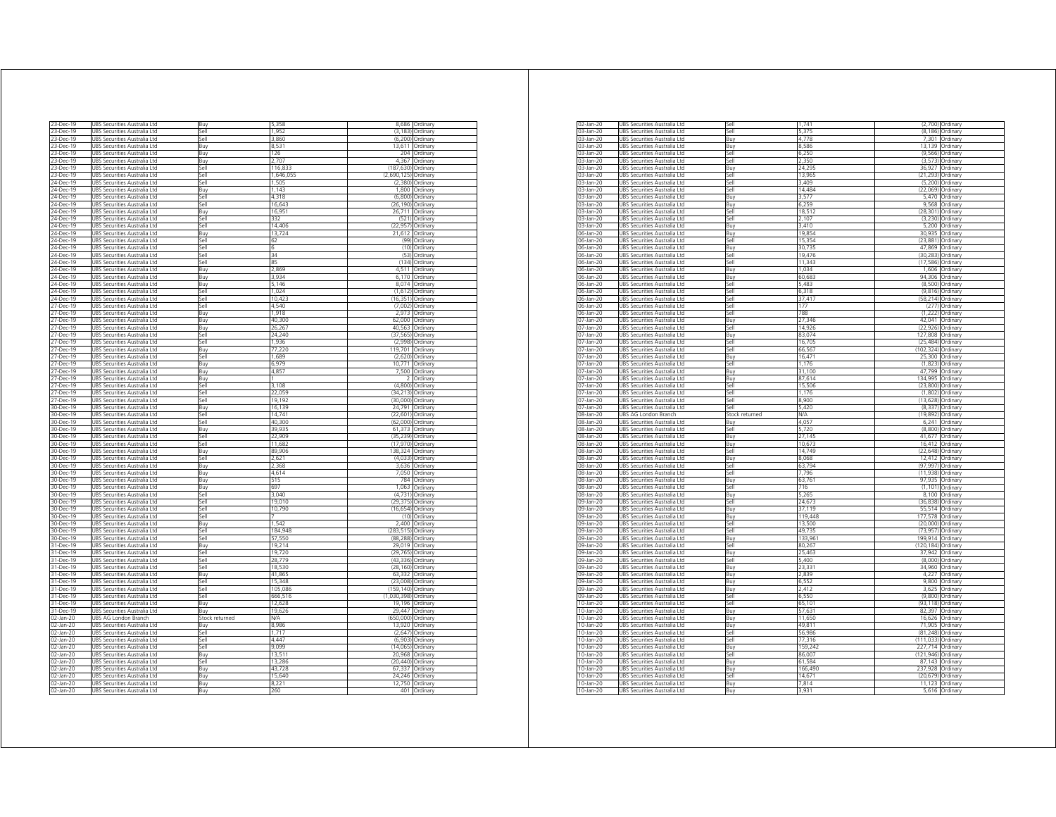| 23-Dec-19       | UBS Securities Australia Ltd           | Buy            | 5,358     |             | 8,686 Ordinary   |
|-----------------|----------------------------------------|----------------|-----------|-------------|------------------|
| 23-Dec-19       | UBS Securities Australia Ltd           | Sell           | 1,952     |             | (3,183) Ordinary |
| 23-Dec-19       | UBS Securities Australia Ltd           | Sell           | 3.860     |             | (6,200) Ordinary |
| 23-Dec-19       | UBS Securities Australia Ltd           | Buy            | 8,531     |             | 13,611 Ordinary  |
| 23-Dec-19       | <b>JBS Securities Australia Ltd</b>    | Buy            | 126       | 204         | Ordinary         |
| 23-Dec-19       | UBS Securities Australia Ltd           | Buy            | 2.707     | 4,367       | Ordinary         |
|                 |                                        |                |           |             |                  |
| 3-Dec-19        | JBS Securities Australia Ltd           | Sell           | 116,833   | (187.630    | Ordinary         |
| 23-Dec-19       | UBS Securities Australia Ltd           | Sell           | 1,646,055 | (2,690,125) | Ordinary         |
| 24-Dec-19       | UBS Securities Australia Ltd           | Sell           | 1,505     | (2,380)     | Ordinary         |
| 24-Dec-19       | URS Securities Australia Ltd           | <b>Buv</b>     | 1 1 4 3   | 1800        | Ordinan          |
| 24-Dec-19       | UBS Securities Australia Ltd           | Sell           | 4,318     | (6,800)     | Ordinary         |
|                 |                                        |                |           |             |                  |
| 24-Dec-19       | JBS Securities Australia Ltd           | Sell           | 16.64     | (26, 190)   | Ordinan          |
| 24-Dec-19       | UBS Securities Australia Ltd           | Buy            | 16.951    |             | 26,711 Ordinary  |
| 24-Dec-19       | UBS Securities Australia Ltd           | اام؟           | 332       | (521)       | Ordinan          |
| 24-Dec-19       | UBS Securities Australia Ltd           | sell           | 14,406    | (22, 957)   | Ordinary         |
| 24-Dec-19       | JBS Securities Australia Ltd           | <b>Buy</b>     | 13,724    | 21,612      | Ordinary         |
| 24-Dec-19       | UBS Securities Australia Ltd           | Sell           | 62        | (99)        | Ordinary         |
|                 |                                        | Sell           | 6         | (10)        |                  |
| 24-Dec-19       | UBS Securities Australia Ltd           |                |           |             | Ordinary         |
| 24-Dec-19       | URS Securities Australia Ltd           | Sell           | 34        | (53)        | Ordinan          |
| 24-Dec-19       | JBS Securities Australia Ltd           | Sell           | 85        | (134)       | Ordinary         |
| 24-Dec-19       | UBS Securities Australia Ltd           | Buy            | 2,869     |             | 4,511 Ordinary   |
| 24-Dec-19       | UBS Securities Australia Ltd           | Buy            | 3.934     |             | 6,170 Ordinary   |
| 24-Dec-19       | UBS Securities Australia Ltd           | Buy            | 5,146     | 8,074       | Ordinary         |
|                 |                                        |                |           |             |                  |
| 24-Dec-19       | URS Securities Australia Etd           | اام؟           | 1.024     | (1.612)     | Ordinary         |
| 24-Dec-19       | UBS Securities Australia Ltd           | <b>Sell</b>    | 10.423    | (16, 351)   | Ordinary         |
| 7-Dec-19        | <b>JBS</b><br>Securities Australia Ltd | <b>Sell</b>    | 4,540     | (7.002)     | Ordinary         |
| $27 - Dec - 19$ | UBS Securities Australia Ltd           | Buy            | 1.918     | 2,973       | Ordinary         |
| 27-Dec-19       | UBS Securities Australia Ltd           | Buy            | 40,300    | 62,000      | Ordinan          |
| 27-Dec-19       | JBS Securities Australia Ltd           | Buy            | 26,267    | 40,563      | Ordinary         |
|                 |                                        |                |           |             |                  |
| 27-Dec-19       | JBS Securities Australia Ltd           | Sell           | 24.240    | (37.565     | Ordinary         |
| 27-Dec-19       | UBS Securities Australia Ltd           | Sell           | 1,936     | (2,998)     | Ordinary         |
| 27-Dec-19       | UBS Securities Australia Ltd           | Buv            | 77,220    | 119,701     | Ordinary         |
| 27-Dec-19       | UBS Securities Australia Ltd           | Sell           | 1,689     | (2.620)     | Ordinary         |
| 27-Dec-19       | JBS Securities Australia Ltd           | Buy            | 6979      | 10,771      | Ordinary         |
| 27-Dec-19       | UBS Securities Australia Ltd           |                | 4,85      | .500        | Ordinan          |
|                 |                                        | Buy            |           |             |                  |
| 27-Dec-19       | UBS Securities Australia Ltd           | Buy            |           | ž           | Ordinary         |
| 27-Dec-19       | UBS Securities Australia Ltd           | Sell           | 3 1 0 8   |             | (4,800) Ordinary |
| 27-Dec-19       | URS Securities Australia Ltd           | Sell           | 22.059    | (34.213)    | Ordinan          |
| 27-Dec-19       | UBS Securities Australia Ltd           | Sell           | 19,192    | (30,000)    | Ordinan          |
| 30-Dec-19       | UBS Securities Australia Ltd           | Buy            | 16,139    | 24,791      | Ordinary         |
| 30-Dec-19       | UBS Securities Australia Ltd           | Sell           |           |             |                  |
|                 |                                        |                | 14,741    | (22, 601)   | Ordinary         |
| 30-Dec-19       | UBS Securities Australia Ltd           | ile?           | 40300     | (62,000)    | Ordinary         |
| 30-Dec-19       | JBS Securities Australia Ltd           | Buy            | 39,935    | 61.373      | Ordinary         |
| 30-Dec-19       | UBS Securities Australia Ltd           | <b>Sell</b>    | 22,909    | (35,239     | Ordinary         |
| 30-Dec-19       | UBS Securities Australia Ltd           | Sell           | 11.682    | (17.970)    | Ordinary         |
| 30-Dec-19       | UBS Securities Australia Ltd           | Buy            | 89,906    |             | 138,324 Ordinary |
| 30-Dec-19       | UBS Securities Australia Ltd           | Sell           | 2,621     | (4,033)     | Ordinan          |
|                 |                                        |                |           |             |                  |
| 30-Dec-19       | JBS Securities Australia Ltd           | Buy            | 2,368     | 3,636       | Ordinary         |
| 30-Dec-19       | JBS Securities Australia Ltd           | Buy            | 4,614     | 7.050       | Ordinan          |
| 30-Dec-19       | UBS Securities Australia Ltd           | Buy            | 515       | 784         | Ordinary         |
| 30-Dec-19       | UBS Securities Australia Ltd           | Buy            | 697       | 1,063       | Ordinary         |
| 30-Dec-19       | UBS Securities Australia Ltd           | Sell           | 3,040     | (4, 731)    | Ordinary         |
|                 |                                        |                |           |             |                  |
| 30-Dec-19       | JBS Securities Australia Ltd           | sell           | 19,010    | (29, 375)   | Ordinary         |
| 30-Dec-19       | UBS Securities Australia Ltd           | 5ell           | 10,790    | (16, 654)   | Ordinan          |
| 30-Dec-19       | UBS Securities Australia Ltd           | Sell           |           | (10)        | Ordinary         |
| 30-Dec-19       | JBS Securities Australia Ltd           | Buy            | 1542      | 2400        | Ordinary         |
| 30-Dec-19       | <b>JBS Securities Australia Ltd</b>    | Sell           | 184.948   | (283.515    | Ordinan          |
| 30-Dec-19       | UBS Securities Australia Ltd           | Sell           | 57,550    | (88.288     | Ordinary         |
|                 | UBS Securities Australia Ltd           | Buv            | 19,214    | 29,019      | Ordinan          |
| 31-Dec-19       |                                        |                |           |             |                  |
| 31-Dec-19       | UBS Securities Australia Ltd           | Sell           | 19,720    | (29, 765)   | Ordinary         |
| 31-Dec-19       | UBS Securities Australia Ltd           | ile?           | 28,779    | (43, 336)   | Ordinary         |
| 31-Dec-19       | UBS Securities Australia Ltd           | 5ell           | 18,530    | (28, 160)   | Ordinary         |
| 31-Dec-19       | <b>JBS</b><br>Securities Australia Ltd | Buy            | 41,865    | 63.332      | Ordinary         |
| 31-Dec-19       | UBS Securities Australia Ltd           | Sell           | 15.348    | (23,008)    | Ordinary         |
|                 |                                        | Ilo2           |           | (159.140)   |                  |
| 31-Dec-19       | UBS Securities Australia Ltd           |                | 105,086   |             | Ordinary         |
| 31-Dec-19       | JBS Securities Australia Ltd           | Sell           | 666,516   | (1,030,398) | Ordinary         |
| 31-Dec-19       | JBS Securities Australia Ltd           | Buy            | 12,628    | 19 196      | Ordinan          |
| 31-Dec-19       | UBS Securities Australia Ltd           | Buy            | 19,626    | 29.447      | Ordinary         |
| 02-Jan-20       | UBS AG London Branch                   | Stock returned | N/A       | (650,000    | Ordinary         |
| 02-Jan-20       | URS Securities Australia Ltd.          | Buv            | 8.986     | 13 920      | Ordinarv         |
|                 |                                        |                |           |             |                  |
| 02-Jan-20       | UBS Securities Australia Ltd           | Sell           | 1,717     | (2,647)     | Ordinary         |
| 02-Jan-20       | UBS Securities Australia Ltd           | sell           | 444       | (6,903)     | Ordinary         |
| 02-Jan-20       | UBS Securities Australia Ltd           | Sell           | 9.099     | (14, 065)   | Ordinary         |
| 02-Jan-20       | <b>IRS</b><br>Securities Australia Ltd | Buy            | 13,51     | 20,968      | Ordinary         |
| 02-Jan-20       | UBS Securities Australia Ltd           | Sell           | 13 286    | (20, 440)   | Ordinan          |
| 02-Jan-20       | JBS Securities Australia Ltd           | Buy            | 43.728    | 67.337      | Ordinary         |
|                 |                                        |                |           |             |                  |
| 02-Jan-20       | UBS Securities Australia Ltd           | Buy            | 15,640    | 24,246      | Ordinary         |
| 02-Jan-20       | UBS Securities Australia Ltd           | Buy            | 8.221     |             | 12.750 Ordinary  |
| 02-Jan-20       | UBS Securities Australia Ltd           | <b>Buv</b>     | 260       |             | 401 Ordinary     |

|                                                                                                                                                                                                                                                                                                                                                                                                                                                                                                 | UBS Securities Australia Ltd                                        | Sell           | 1.741           |            | (2,700) Ordinary           |
|-------------------------------------------------------------------------------------------------------------------------------------------------------------------------------------------------------------------------------------------------------------------------------------------------------------------------------------------------------------------------------------------------------------------------------------------------------------------------------------------------|---------------------------------------------------------------------|----------------|-----------------|------------|----------------------------|
| 03-Jan-20                                                                                                                                                                                                                                                                                                                                                                                                                                                                                       | UBS Securities Australia Ltd                                        | Sell           | 5.375           | (8, 186)   | Ordinary                   |
| 03-Jan-20                                                                                                                                                                                                                                                                                                                                                                                                                                                                                       | UBS Securities Australia Ltd                                        | Buy            | 4,778           | 7,301      | Ordinary                   |
| 03-Jan-20                                                                                                                                                                                                                                                                                                                                                                                                                                                                                       | JBS Securities Australia Ltd                                        | Buy            | 8.586           | 13.139     | Ordinary                   |
| 03-Jan-20                                                                                                                                                                                                                                                                                                                                                                                                                                                                                       | JBS Securities Australia Ltd                                        | Sell           | 6,250           | (9,566)    | Ordinary                   |
| 03-Jan-20                                                                                                                                                                                                                                                                                                                                                                                                                                                                                       | JBS Securities Australia Ltd                                        | Sell           | 2350            | (3.573)    | Ordinary                   |
| 03-Jan-20                                                                                                                                                                                                                                                                                                                                                                                                                                                                                       | JBS Securities Australia Ltd                                        | Buy            | 24,295          | 36,927     | Ordinary                   |
| 03-Jan-20                                                                                                                                                                                                                                                                                                                                                                                                                                                                                       | JBS Securities Australia Ltd                                        | Sell           | 13,965          | (21, 293)  | Ordinary                   |
| 03-Jan-20                                                                                                                                                                                                                                                                                                                                                                                                                                                                                       | UBS Securities Australia Ltd                                        | Sell           | 3,409           | (5,200)    | Ordinarv                   |
| 03-Jan-20                                                                                                                                                                                                                                                                                                                                                                                                                                                                                       | UBS Securities Australia Ltd                                        | Sell           | 14,484          | (22, 069)  | Ordinary                   |
| 03-Jan-20                                                                                                                                                                                                                                                                                                                                                                                                                                                                                       | UBS Securities Australia Ltd                                        | Buy            | 3,577           | 5,470      | Ordinary                   |
| 03-Jan-20                                                                                                                                                                                                                                                                                                                                                                                                                                                                                       | URS Securities Australia I td                                       | <b>Bu</b>      | 6.259           | 9.568      | Ordinary                   |
| 03-Jan-20                                                                                                                                                                                                                                                                                                                                                                                                                                                                                       | UBS Securities Australia Ltd                                        | <b>Sell</b>    | 18,512          | (28, 301)  | Ordinary                   |
| 03-Jan-20                                                                                                                                                                                                                                                                                                                                                                                                                                                                                       | UBS Securities Australia Ltd                                        | Sell           | 2,107           | (3.230)    | Ordinary                   |
| 03-Jan-20                                                                                                                                                                                                                                                                                                                                                                                                                                                                                       | UBS Securities Australia Ltd                                        | Buy            | 3,410           | 5,200      | Ordinary                   |
| 06-Jan-20                                                                                                                                                                                                                                                                                                                                                                                                                                                                                       | UBS Securities Australia Ltd                                        | Buy            | 19,854          | 30,935     | Ordinary                   |
| 06-Jan-20                                                                                                                                                                                                                                                                                                                                                                                                                                                                                       | JBS Securities Australia Ltd                                        | <b>Sell</b>    | 15354           | (23.881)   | Ordinary                   |
| 06-Jan-20                                                                                                                                                                                                                                                                                                                                                                                                                                                                                       | JBS Securities Australia Ltd                                        | Buy            | 30,735          | 47,869     | Ordinary                   |
| 06-Jan-20                                                                                                                                                                                                                                                                                                                                                                                                                                                                                       | UBS Securities Australia Ltd                                        | Sell           | 19,476          | (30, 283)  | Ordinarv                   |
| 06-Jan-20                                                                                                                                                                                                                                                                                                                                                                                                                                                                                       | UBS Securities Australia Ltd                                        | Sell           | 11,343          | (17, 586)  | Ordinary                   |
| 06-Jan-20                                                                                                                                                                                                                                                                                                                                                                                                                                                                                       | UBS Securities Australia Ltd                                        | Buy            | 1,034           | 1,606      | Ordinary                   |
| 06-Jan-20                                                                                                                                                                                                                                                                                                                                                                                                                                                                                       | UBS Securities Australia Ltd                                        | Buy            | 60,683          | 94,306     | Ordinary                   |
| 06-Jan-20                                                                                                                                                                                                                                                                                                                                                                                                                                                                                       | UBS Securities Australia Ltd                                        | <b>Sell</b>    | 5,483           | (8,500)    | Ordinary                   |
| 06-Jan-20                                                                                                                                                                                                                                                                                                                                                                                                                                                                                       | JBS Securities Australia Ltd                                        | <b>Sell</b>    | 6.318           | (9.816)    | Ordinan                    |
| 06-Jan-20                                                                                                                                                                                                                                                                                                                                                                                                                                                                                       | UBS Securities Australia Ltd                                        | Sell           | 37,417          | (58, 214)  | Ordinary                   |
|                                                                                                                                                                                                                                                                                                                                                                                                                                                                                                 |                                                                     |                |                 |            |                            |
| 06-Jan-20                                                                                                                                                                                                                                                                                                                                                                                                                                                                                       | JBS Securities Australia Ltd                                        | Sell           | 177             | (277)      | Ordinary                   |
| 06-Jan-20                                                                                                                                                                                                                                                                                                                                                                                                                                                                                       | JBS Securities Australia Ltd                                        | <b>I</b> le2   | 788             | (1,222)    | Ordinary                   |
| 07-Jan-20                                                                                                                                                                                                                                                                                                                                                                                                                                                                                       | JBS Securities Australia Ltd                                        | Buv            | 27.346          | 42.041     | Ordinary                   |
| 07-Jan-20                                                                                                                                                                                                                                                                                                                                                                                                                                                                                       | JBS Securities Australia Ltd                                        | Sell           | 14,926          | (22, 926)  | Ordinary                   |
| 07-Jan-20                                                                                                                                                                                                                                                                                                                                                                                                                                                                                       | URS<br>Securities Australia Ltd                                     | Buv            | 83.074          | 127,808    | Ordinary                   |
| 07-Jan-20                                                                                                                                                                                                                                                                                                                                                                                                                                                                                       | UBS Securities Australia Ltd                                        | Sell           | 16,705          | (25, 484)  | Ordinary                   |
| 07-Jan-20                                                                                                                                                                                                                                                                                                                                                                                                                                                                                       | UBS Securities Australia Ltd                                        | Sell           | 66.567          | (102.324)  | Ordinan                    |
| 07-Jan-20                                                                                                                                                                                                                                                                                                                                                                                                                                                                                       | UBS Securities Australia Ltd                                        | Buy            | 16,471          | 25,300     | Ordinary                   |
| 07-Jan-20                                                                                                                                                                                                                                                                                                                                                                                                                                                                                       | UBS Securities Australia Ltd                                        | <b>Sell</b>    | 1 1 7 6         | (1.823)    | Ordinary                   |
| 07-Jan-20                                                                                                                                                                                                                                                                                                                                                                                                                                                                                       | UBS Securities Australia Ltd                                        | Buy            | 31,100          | 47,799     | Ordinary                   |
| 07-Jan-20                                                                                                                                                                                                                                                                                                                                                                                                                                                                                       | UBS Securities Australia Ltd                                        | Buy            | 87,614          | 134,995    | Ordinary                   |
| 07-Jan-20                                                                                                                                                                                                                                                                                                                                                                                                                                                                                       | UBS Securities Australia Ltd                                        | Sell           | 15,506          | (23,800)   | Ordinary                   |
| 07-Jan-20                                                                                                                                                                                                                                                                                                                                                                                                                                                                                       | URS Securities Australia Ltd                                        | Sell           | 1 1 7 6         | (1.802)    | Ordinary                   |
| 07-Jan-20                                                                                                                                                                                                                                                                                                                                                                                                                                                                                       | JBS Securities Australia Ltd                                        | Sell           | 8,900           | (13, 628)  | Ordinary                   |
| 07-Jan-20                                                                                                                                                                                                                                                                                                                                                                                                                                                                                       | UBS Securities Australia Ltd                                        | Sell           | 5,420           | (8, 337)   | Ordinary                   |
|                                                                                                                                                                                                                                                                                                                                                                                                                                                                                                 |                                                                     |                |                 |            |                            |
|                                                                                                                                                                                                                                                                                                                                                                                                                                                                                                 |                                                                     | Stock returned | N/A             | (19.892)   |                            |
|                                                                                                                                                                                                                                                                                                                                                                                                                                                                                                 | UBS AG London Branch                                                |                |                 |            | Ordinary                   |
| 08-Jan-20<br>08-Jan-20                                                                                                                                                                                                                                                                                                                                                                                                                                                                          | UBS Securities Australia Ltd                                        | Buy            | 4.057           | 6,241      | Ordinary<br>Ordinan        |
|                                                                                                                                                                                                                                                                                                                                                                                                                                                                                                 | UBS Securities Australia Ltd                                        | Sell           | 5,720           | (8,800)    |                            |
|                                                                                                                                                                                                                                                                                                                                                                                                                                                                                                 | UBS Securities Australia Ltd                                        | Buy            | 27,145          | 41,677     | Ordinary                   |
|                                                                                                                                                                                                                                                                                                                                                                                                                                                                                                 | UBS Securities Australia Ltd                                        | Buy            | 10,673          | 16,412     | Ordinary                   |
|                                                                                                                                                                                                                                                                                                                                                                                                                                                                                                 | UBS Securities Australia Ltd                                        | Sell           | 14,749          | (22, 648)  | Ordinary                   |
|                                                                                                                                                                                                                                                                                                                                                                                                                                                                                                 | JBS Securities Australia Ltd                                        | Buy            | 8,068           | 12,412     | Ordinary                   |
|                                                                                                                                                                                                                                                                                                                                                                                                                                                                                                 | JBS Securities Australia Ltd                                        | Sell           | 63,794          | (97, 997)  | Ordinary                   |
|                                                                                                                                                                                                                                                                                                                                                                                                                                                                                                 | JBS Securities Australia Ltd                                        | <b>I</b> le2   | 7.796           | (11.938)   | Ordinary                   |
|                                                                                                                                                                                                                                                                                                                                                                                                                                                                                                 | JBS Securities Australia Ltd                                        | Buy            | 63,761          | 97,935     | Ordinary                   |
|                                                                                                                                                                                                                                                                                                                                                                                                                                                                                                 | JBS Securities Australia Ltd                                        | Sell           | 716             | (1, 101)   | Ordinary                   |
|                                                                                                                                                                                                                                                                                                                                                                                                                                                                                                 | UBS Securities Australia Ltd                                        | Buy            | 5,265           | 8,100      | Ordinary                   |
|                                                                                                                                                                                                                                                                                                                                                                                                                                                                                                 | UBS Securities Australia Ltd                                        | Sell           | 24,673          | (36.838)   | Ordinan                    |
|                                                                                                                                                                                                                                                                                                                                                                                                                                                                                                 | UBS Securities Australia Ltd                                        | Buy            | 37,119          | 55,514     | Ordinan                    |
|                                                                                                                                                                                                                                                                                                                                                                                                                                                                                                 | UBS Securities Australia Ltd                                        | Buy            | 119 448         | 177 578    | Ordinary                   |
|                                                                                                                                                                                                                                                                                                                                                                                                                                                                                                 | UBS Securities Australia Ltd                                        | Sell           | 13,500          | (20,000)   | Ordinary                   |
|                                                                                                                                                                                                                                                                                                                                                                                                                                                                                                 | UBS Securities Australia Ltd                                        | Sell           | 49,735          | (73, 957)  | Ordinary                   |
|                                                                                                                                                                                                                                                                                                                                                                                                                                                                                                 | UBS Securities Australia Ltd                                        | Buy            | 133,961         | 199,914    | Ordinary                   |
|                                                                                                                                                                                                                                                                                                                                                                                                                                                                                                 | JBS Securities Australia Ltd                                        | lle?           | 80 267          | (120, 184) | Ordinary                   |
|                                                                                                                                                                                                                                                                                                                                                                                                                                                                                                 | JBS Securities Australia Ltd                                        | Buy            | 25 463          | 37,942     | Ordinary                   |
|                                                                                                                                                                                                                                                                                                                                                                                                                                                                                                 | JBS Securities Australia Ltd                                        | Sell           | 5,400           | (8,000)    | Ordinary                   |
|                                                                                                                                                                                                                                                                                                                                                                                                                                                                                                 | UBS Securities Australia Ltd                                        | Buy            | 23,331          | 34,960     | Ordinan                    |
|                                                                                                                                                                                                                                                                                                                                                                                                                                                                                                 | UBS Securities Australia Ltd                                        | Buy            | 2,839           | 4,227      | Ordinary                   |
|                                                                                                                                                                                                                                                                                                                                                                                                                                                                                                 | UBS Securities Australia Ltd                                        | <b>Bu</b>      | 6.552           | 9.800      | Ordinan                    |
|                                                                                                                                                                                                                                                                                                                                                                                                                                                                                                 | UBS Securities Australia Ltd                                        | Buy            | 2,412           | 3,625      | Ordinary                   |
|                                                                                                                                                                                                                                                                                                                                                                                                                                                                                                 | UBS Securities Australia Ltd                                        | Sell           | 6,550           | (9,800)    | Ordinary                   |
|                                                                                                                                                                                                                                                                                                                                                                                                                                                                                                 | UBS Securities Australia Ltd                                        | Sell           | 65,101          | (93, 118)  | Ordinary                   |
|                                                                                                                                                                                                                                                                                                                                                                                                                                                                                                 |                                                                     |                |                 | 82,397     | Ordinary                   |
|                                                                                                                                                                                                                                                                                                                                                                                                                                                                                                 | JBS Securities Australia Ltd                                        | Buy            | 57,631          |            |                            |
|                                                                                                                                                                                                                                                                                                                                                                                                                                                                                                 | JBS Securities Australia Ltd                                        | Buy            | 11,650<br>49811 | 16,626     | Ordinary                   |
|                                                                                                                                                                                                                                                                                                                                                                                                                                                                                                 | JBS Securities Australia Ltd                                        | Buy            |                 | 71,905     | Ordinary                   |
|                                                                                                                                                                                                                                                                                                                                                                                                                                                                                                 | JBS Securities Australia Ltd                                        | lle?           | 56 986          | (81.248)   | Ordinary                   |
|                                                                                                                                                                                                                                                                                                                                                                                                                                                                                                 | UBS Securities Australia Ltd                                        | Sell           | 77.316          | (111, 033) | Ordinan                    |
|                                                                                                                                                                                                                                                                                                                                                                                                                                                                                                 | UBS Securities Australia Ltd                                        | Buy            | 159.242         | 227,714    | Ordinary                   |
|                                                                                                                                                                                                                                                                                                                                                                                                                                                                                                 | UBS Securities Australia Ltd                                        | Sell           | 86.007          | (121, 946) | Ordinary                   |
|                                                                                                                                                                                                                                                                                                                                                                                                                                                                                                 | <b>UBS Securities Australia Ltd</b>                                 | Buv            | 61.584          | 87.143     | Ordinan                    |
|                                                                                                                                                                                                                                                                                                                                                                                                                                                                                                 | UBS Securities Australia Ltd                                        | Buy            | 166,490         | 237,928    | Ordinary                   |
|                                                                                                                                                                                                                                                                                                                                                                                                                                                                                                 | UBS Securities Australia Ltd                                        | Sell           | 14,671          | (20, 679)  | Ordinary                   |
| 08-Jan-20<br>08-Jan-20<br>08-Jan-20<br>08-Jan-20<br>08-Jan-20<br>08-Jan-20<br>08-Jan-20<br>08-Jan-20<br>08-Jan-20<br>08-Jan-20<br>09-Jan-20<br>09-Jan-20<br>09-Jan-20<br>09-Jan-20<br>09-Jan-20<br>09-Jan-20<br>09-Jan-20<br>09-Jan-20<br>09-Jan-20<br>09-Jan-20<br>09-Jan-20<br>09-Jan-20<br>09-Jan-20<br>09-Jan-20<br>10-Jan-20<br>10-Jan-20<br>10-Jan-20<br>10-Jan-20<br>10-Jan-20<br>10-Jan-20<br>$10-Jan-20$<br>10-Jan-20<br>10-Jan-20<br>10-Jan-20<br>10-Jan-20<br>10-Jan-20<br>10-Jan-20 | UBS Securities Australia Ltd<br><b>UBS Securities Australia Ltd</b> | Buv<br>Buv     | 7.814<br>3931   | 11,123     | Ordinary<br>5,616 Ordinary |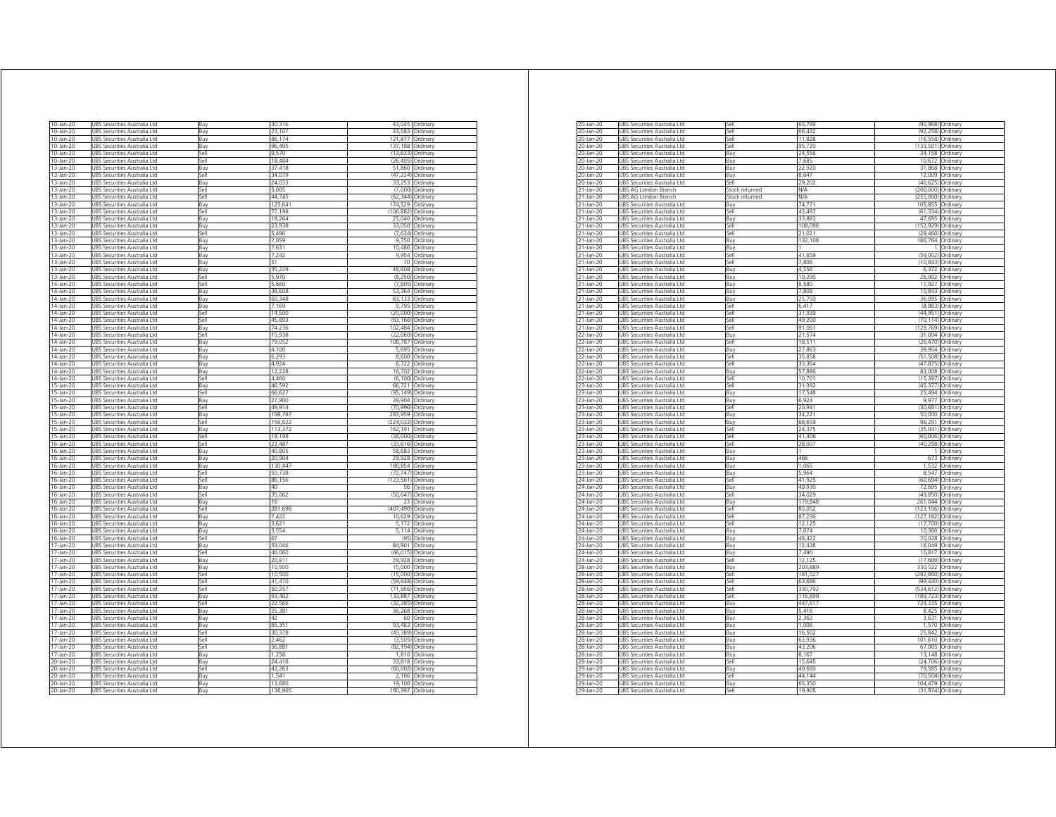| 10-Jan-20    | UBS Securities Australia Ltd           | Buy         | 30,316  | 43.045      | Ordinary        |
|--------------|----------------------------------------|-------------|---------|-------------|-----------------|
| 10-Jan-20    | UBS Securities Australia Ltd           | Buy         | 23,107  | 33,583      | Ordinary        |
| 10-Jan-20    | UBS Securities Australia Ltd           | Buy         | 86,174  | 121,877     | Ordinary        |
| 10-Jan-20    | UBS Securities Australia Ltd           | Buy         | 96,495  | 137,188     | Ordinary        |
| 10-Jan-20    | URS Securities Australia Etd           | ۱le7        | 9.570   | (13.633)    | Ordinary        |
| 10-Jan-20    | UBS Securities Australia Ltd           | sell        | 18.484  | (26.405)    | Ordinary        |
| 13-Jan-20    | JBS Securities Australia Ltd           | Buy         | 37,418  | 51.860      | Ordinary        |
| 13-Jan-20    | UBS Securities Australia Ltd           | Sell        | 34,079  | (47, 224)   | Ordinarv        |
| 13-Jan-20    | <b>JBS Securities Australia Ltd</b>    | Buy         | 24,033  | 33.253      | Ordinary        |
| 13-Jan-20    | <b>JBS Securities Australia Ltd</b>    | Sell        | 5.005   | (7,000)     | Ordinan         |
| 13-Jan-20    | JBS Securities Australia Ltd           | Sell        | 44.745  | (62 344     | Ordinary        |
|              |                                        |             |         |             |                 |
| 13-Jan-20    | JBS Securities Australia Ltd           | Buy         | 125,641 | 174,529     | Ordinary        |
| 13-Jan-20    | UBS Securities Australia Ltd           | Sell        | 77.198  | (106, 882)  | Ordinary        |
| 13-Jan-20    | UBS Securities Australia Ltd           | Buy         | 18.264  | 25.040      | Ordinary        |
| 13-Jan-20    | UBS Securities Australia Ltd           | .<br>Buy    | 23,938  | 33,050      | Ordinary        |
| 13-Jan-20    | JBS Securities Australia Ltd           | sell        | ,496    | (7,634)     | Ordinary        |
| 13-Jan-20    | UBS Securities Australia Ltd           | Buy         | 7.059   | 9.750       | Ordinary        |
| 13-Jan-20    | JBS Securities Australia Ltd           | Buy         | 7,631   | 10,486      | Ordinary        |
| 13-Jan-20    | URS Securities Australia Ltd           | <b>Buv</b>  | 7.242   | 9.954       | Ordinan         |
| 13-Jan-20    | <b>JRS</b><br>Securities Australia Ltd | Buy         |         | 70          | Ordinary        |
| 13-Jan-20    | UBS Securities Australia Ltd           | Buv         | 35,229  | 48,608      | Ordinary        |
| 13-Jan-20    | UBS Securities Australia Ltd           | Sell        | 5970    | (8.250)     | Ordinary        |
| $14$ -Jan-20 | UBS Securities Australia Ltd           | Sell        | 5660    | (7,805)     | Ordinary        |
| 14-Jan-20    | URS Securities Australia Etd           | <b>Buv</b>  | 38.608  | 53 364      | Ordinary        |
| 14-Jan-20    |                                        |             | 60.348  | 83.133      |                 |
|              | JBS Securities Australia Ltd           | Buy         |         |             | Ordinary        |
| 14-Jan-20    | <b>JBS</b><br>Securities Australia Ltd | 3uy         | 7.169   | 9.795       | Ordinary        |
| 14-Jan-20    | UBS Securities Australia Ltd           | Sell        | 14,500  | (20,000)    | Ordinarv        |
| 14-Jan-20    | JBS Securities Australia Ltd           | Sell        | 45,893  | (63)<br>166 | Ordinary        |
| 14-Jan-20    | JBS Securities Australia Ltd           | Buy         | 74,236  | 102 484     | Ordinary        |
| 14-Jan-20    | JBS Securities Australia Ltd           | Sell        | 15.938  | (22.060     | Ordinary        |
| 14-Jan-20    | UBS Securities Australia Ltd           | Buy         | 79,052  | 108,787     | Ordinary        |
| 14-Jan-20    | UBS Securities Australia Ltd           | Buy         | 4,100   | 5,695       | Ordinarv        |
| $14$ -Jan-20 | UBS Securities Australia Ltd           | Buy         | 6,293   | 8,600       | Ordinary        |
| 14-Jan-20    | JBS Securities Australia Ltd           | Buy         | 4,924   | 6,722       | Ordinary        |
| 14-Jan-20    | UBS Securities Australia Ltd           | Buy         | 12.228  | 16,702      | Ordinan         |
|              |                                        |             | 4 4 6 0 |             |                 |
| 14-Jan-20    | UBS Securities Australia Ltd           | Sell        | 46.592  | (6, 100)    | Ordinary        |
| 15-Jan-20    | UBS Securities Australia Ltd           | Buv         |         | 66,721      | Ordinary        |
| 15-Jan-20    | URS Securities Australia Ltd           | Sell        | 66.627  | (95 149)    | Ordinan         |
| 15-Jan-20    | UBS Securities Australia Ltd           | Buy         | 27,900  | 39,904      | Ordinary        |
| 15-Jan-20    | UBS Securities Australia Ltd           | Sell        | 49 914  | (70, 996)   | Ordinarv        |
| 15-Jan-20    | UBS Securities Australia Ltd           | Buy         | 198,797 | 283.959     | Ordinarv        |
| 15-Jan-20    | UBS Securities Australia Ltd           | آاھ؟        | 156,622 | (224, 032)  | Ordinary        |
| 15-Jan-20    | JBS Securities Australia Ltd           | 3uy         | 113,372 | 162,191     | Ordinary        |
| 15-Jan-20    | JBS Securities Australia Ltd           | sell        | 18.198  | (26,000)    | Ordinary        |
| 16-Jan-20    | UBS Securities Australia Ltd           | Sell        | 23, 487 | (33.616)    | Ordinary        |
| 16-Jan-20    | UBS Securities Australia Ltd           | Buy         | 40,805  | 58,683      | Ordinary        |
| 16-Jan-20    | UBS Securities Australia Ltd           | Buy         | 20,904  | 29,928      | Ordinary        |
| 16-Jan-20    | JBS Securities Australia Ltd           | Buy         | 130.447 | 186 854     | Ordinary        |
|              |                                        |             |         |             |                 |
| 16-Jan-20    | JBS Securities Australia Ltd           | Sell        | 50.738  | (72.747     | Ordinary        |
| 16-Jan-20    | UBS Securities Australia Ltd           | Sell        | 86,156  | (123, 561)  | Ordinary        |
| 16-Jan-20    | UBS Securities Australia Ltd           | Buv         | 40      | 56          | Ordinary        |
| 16-Jan-20    | UBS Securities Australia Ltd           | <b>Sell</b> | 35,062  | (50, 647)   | Ordinary        |
| 16-Jan-20    | JBS Securities Australia Ltd           | <b>Buv</b>  | 16      | 23          | Ordinary        |
| 16-Jan-20    | UBS Securities Australia Ltd           | <b>Sell</b> | 281,698 | (407 490    | Ordinan         |
| 16-Jan-20    | UBS Securities Australia Ltd           | Buy         | 7,422   | 10,629      | Ordinary        |
| 16-Jan-20    | JBS Securities Australia Ltd           | Buy         | 3.621   | 5.172       | Ordinarv        |
| 16-Jan-20    | <b>JBS Securities Australia Ltd</b>    | <b>Buv</b>  | 3554    | 5.114       | Ordinan         |
| 16-Jan-20    | JBS Securities Australia Ltd           | Sell        | 67      | (95)        | Ordinary        |
| $17$ -Jan-20 | UBS Securities Australia Ltd           | Buv         | 59.046  | 84,901      | Ordinary        |
| 17-Jan-20    | UBS Securities Australia Ltd           | Sell        | 46,060  | (66, 015)   | Ordinary        |
| 17-Jan-20    | UBS Securities Australia Ltd           | Buy         | 20,911  | 29,928      | Ordinary        |
| 17-Jan-20    | UBS Securities Australia Ltd           | Buy         | 10 500  | 15,000      | Ordinary        |
|              |                                        |             |         |             |                 |
| 17-Jan-20    | <b>JBS</b><br>Securities Australia Ltd | sell        | 10.500  | (15.000     | Ordinary        |
| 17-Jan-20    | UBS Securities Australia Ltd           | Sell        | 41,410  | (59 648     | Ordinary        |
| 17-Jan-20    | UBS Securities Australia Ltd           | Sell        | 50.257  | (71.956)    | Ordinan         |
| 17-Jan-20    | JBS Securities Australia Ltd           | Buy         | 93,402  | 133,887     | Ordinary        |
| 17-Jan-20    | JBS Securities Australia Ltd           | Sell        | 22.566  | (32.385     | Ordinary        |
| 17-Jan-20    | UBS Securities Australia Ltd           | Buy         | 25,381  | 36,268      | Ordinary        |
| 17-Jan-20    | UBS Securities Australia Ltd           | Buy         | 42      | 60          | Ordinary        |
| 17-Jan-20    | URS Securities Australia I td          | <b>Buv</b>  | 65 351  | 93 483      | Ordinary        |
| 17-Jan-20    | UBS Securities Australia Ltd           | Sell        | 30,378  | (43)<br>389 | Ordinary        |
| 17-Jan-20    | UBS Securities Australia Ltd           | sell        | 2.462   | 3<br>.505   | <b>Drdinary</b> |
|              |                                        |             |         | (82 194)    |                 |
| 17-Jan-20    | UBS Securities Australia Ltd           | <b>Sell</b> | 56,881  |             | Ordinan         |
| 17-Jan-20    | <b>IRS</b><br>Securities Australia Ltd | Buy         | 1,258   | 1,810       | Ordinan         |
| 20-Jan-20    | JBS Securities Australia Ltd           | <b>Buv</b>  | 24418   | 33 818      | Ordinan         |
| 20-Jan-20    | JBS Securities Australia Ltd           | Sell        | 43.263  | (60.002     | Ordinary        |
| 20-Jan-20    | JBS Securities Australia Ltd           | Buy         | 1,541   | 2,186       | Ordinary        |
| 20-Jan-20    | UBS Securities Australia Ltd           | Buy         | 13.680  | 19 100      | Ordinary        |
| 20-Jan-20    | UBS Securities Australia Ltd           | Buv         | 136,905 | 190,397     | Ordinary        |

| 20-Jan-20                 | UBS Securities Australia Ltd                                        | S۵l            | 65.789     |              | (90,968) Ordinary |
|---------------------------|---------------------------------------------------------------------|----------------|------------|--------------|-------------------|
| 20-Jan-20                 | UBS Securities Australia Ltd                                        | Sell           | 66,432     | (92.258)     | Ordinary          |
| 20-Jan-20                 | UBS Securities Australia Ltd                                        | Sell           | 11,828     | (16, 558)    | Ordinary          |
| 20-Jan-20                 | UBS Securities Australia Ltd                                        | Sell           | 95,720     | (133.501)    | Ordinary          |
| 20-Jan-20                 | JBS Securities Australia Ltd                                        | Buv            | 24,556     | 34,158       | Ordinary          |
| 20-Jan-20                 | JBS Securities Australia Ltd                                        | Buv            | 7.685      | 10.672       | Ordinary          |
| 20-Jan-20                 | JBS Securities Australia Ltd                                        | Buy            | 22,920     | 31,868       | Ordinary          |
| 20-Jan-20                 | JBS Securities Australia Ltd                                        | Buy            | 8,647      | 12,009       | Ordinary          |
| 20-Jan-20                 | UBS Securities Australia Ltd                                        | <b>Sell</b>    | 29.202     | (40, 625)    | Ordinary          |
| 21-Jan-20                 | UBS AG London Branch                                                | Stock returned | <b>N/A</b> | (200, 000)   | Ordinan           |
| 21-Jan-20                 | UBS AG London Branch                                                | Stock returned | ΝA         | (255,000)    | Ordinary          |
| 21-Jan-20                 | URS Securities Australia I td                                       | Buy            | 74.771     | 105.855      | Ordinarv          |
| 21-Jan-20                 | UBS Securities Australia Ltd                                        | Sell           | 43.497     | (61.334)     | Ordinary          |
| 21-Jan-20                 | UBS Securities Australia Ltd                                        | Buy            | 33,883     | 47,695       | Ordinary          |
| 21-Jan-20                 | UBS Securities Australia Ltd                                        | Sell           | 108.098    | (152, 929)   | Ordinary          |
| 21-Jan-20                 | UBS Securities Australia Ltd                                        | Sell           | 21,021     | (29, 460)    | Ordinary          |
| 21-Jan-20                 | JBS Securities Australia Ltd                                        | Buy            | 132,108    | 186,764      | Ordinary          |
| 21-Jan-20                 | JBS Securities Australia Ltd                                        | Buy            |            |              | Ordinary          |
| 21-Jan-20                 | UBS Securities Australia Ltd                                        | Sell           | 41,659     | (59,002)     | Ordinary          |
| 21-Jan-20                 | UBS Securities Australia Ltd                                        | Sell           | 7.806      | (10, 843)    | Ordinan           |
| 21-Jan-20                 | UBS Securities Australia Ltd                                        | Buy            | 4,556      | 6,372        | Ordinary          |
| 21-Jan-20                 | URS Securities Australia I td                                       | <b>Buv</b>     | 19.290     | 26.902       | Ordinan           |
| 21-Jan-20                 | UBS Securities Australia Ltd                                        | Buy            | 8,580      | 11.927       | Ordinary          |
| 21-Jan-20                 | JBS Securities Australia Ltd                                        | Buy            | 7,808      | 10,843       | Ordinary          |
| 21-Jan-20                 | UBS Securities Australia Ltd                                        | Buy            | 25,750     | 36,095       | Ordinary          |
| 21-Jan-20                 | JBS Securities Australia Ltd                                        | اامک           | 6417       | (8,883)      | Ordinary          |
| 21-Jan-20                 | JBS Securities Australia Ltd                                        | Sell           | 31,939     | (44, 951)    | Ordinary          |
| 21-Jan-20                 | JBS Securities Australia Ltd                                        | sell           | 49,200     | (70114)      | Ordinary          |
| 21-Jan-20                 | UBS Securities Australia Ltd                                        | Sell           | 91,061     | (129, 769)   | Ordinarv          |
| 22-Jan-20                 | UBS Securities Australia Ltd                                        | Buy            | 21574      | 31,004       | Ordinary          |
| 22-Jan-20                 | UBS Securities Australia Ltd                                        | Sell           | 18,511     | (26, 470)    | Ordinary          |
| 22-Jan-20                 | <b>UBS Securities Australia Ltd</b>                                 | <b>Bu</b>      | 27.863     | 39.904       | Ordinan           |
| 22-Jan-20                 | UBS Securities Australia Ltd                                        | <b>Sell</b>    | 35,858     | (51 508      | Ordinary          |
| 22-Jan-20                 | UBS Securities Australia Ltd                                        | Sell           | 33,364     | (47, 875)    | Ordinary          |
| 22-Jan-20                 | UBS Securities Australia Ltd                                        | Buy            | 57.886     | 83.008       | Ordinan           |
| 22-Jan-20                 | UBS Securities Australia Ltd                                        | <b>Sell</b>    | 10,701     | (15, 397)    | Ordinary          |
| 23-Jan-20                 | UBS Securities Australia Ltd                                        | Sell           | 31.392     | (45, 377)    | Ordinary          |
| 23-Jan-20                 | JBS Securities Australia Ltd                                        | Buy            | 17,548     | 25,494       | Ordinary          |
| 23-Jan-20                 | UBS Securities Australia Ltd                                        | Buy            | 6.924      | 9,977        | Ordinary          |
| 23-Jan-20                 | UBS Securities Australia Ltd                                        | Sell           | 20 941     | (30, 681)    | Ordinary          |
| 23-Jan-20                 | UBS Securities Australia Ltd                                        | Buy            | 34,221     | 50,000       | Ordinan           |
| 23-Jan-20                 | UBS Securities Australia Ltd                                        | Buy            | 66 659     | 96,291       | Ordinary          |
| 23-Jan-20                 | UBS Securities Australia Ltd                                        | Sell           | 24,375     | (35,041)     | Ordinary          |
| $23 - Jan-20$             | JBS Securities Australia Ltd                                        | Sell           | 41.406     | (60.006)     | Ordinary          |
| 23-Jan-20                 | JBS Securities Australia Ltd                                        | Sell           | 28,007     | (40, 298)    | Ordinary          |
|                           |                                                                     |                | 1          | $\mathbf{1}$ | Ordinary          |
| $23$ -Jan-20<br>23-Jan-20 | JBS Securities Australia Ltd<br><b>JRS Securities Australia Ltd</b> | Buy<br>Buv     | 466        | 673          | Ordinary          |
| 23-Jan-20                 | JBS Securities Australia Ltd                                        | Buy            | 1,065      | 1,532        | Ordinary          |
|                           |                                                                     |                | 5.964      |              |                   |
| 23-Jan-20                 | JBS Securities Australia Ltd                                        | Buy            |            | 8,547        | Ordinary          |
| 24-Jan-20                 | UBS Securities Australia Ltd                                        | Sell           | 41,925     | (60, 694)    | Ordinarv          |
| 24-Jan-20                 | UBS Securities Australia Ltd                                        | Buy            | 49.930     | 72,695       | Ordinary          |
| 24-Jan-20                 | UBS Securities Australia Ltd                                        | Sell           | 34,029     | (49, 850)    | Ordinary          |
| 24-Jan-20                 | URS Securities Australia I td                                       | <b>Bu</b>      | 179.848    | 261.044      | Ordinary          |
| 24-Jan-20                 | UBS Securities Australia Ltd                                        | lle?           | 85,052     | (123 106)    | Ordinary          |
| 24-Jan-20                 | UBS Securities Australia Ltd                                        | Sell           | 87,236     | (127.182)    | Ordinary          |
| 24-Jan-20                 | UBS Securities Australia Ltd                                        | Sell           | 12,125     | (17,700)     | Ordinary          |
| 24-Jan-20                 | UBS Securities Australia Ltd                                        | Buy            | 7074       | 10,360       | Ordinary          |
| 24-Jan-20                 | JBS Securities Australia Ltd                                        | Buy            | 48,422     | 70,028       | Ordinary          |
| 24-Jan-20                 | JBS Securities Australia Ltd                                        | Buy            | 12,438     | 18,049       | Ordinary          |
| 24-Jan-20                 | UBS Securities Australia Ltd                                        | Buv            | 7,490      | 10,817       | Ordinary          |
| 24-Jan-20                 | UBS Securities Australia Ltd                                        | Sell           | 12 12 5    | (17, 600)    | Ordinary          |
| 28-Jan-20                 | UBS Securities Australia Ltd                                        | Buy            | 203,889    | 330,522      | Ordinary          |
| 28-Jan-20                 | <b>UBS Securities Australia Ltd</b>                                 | <b>Sell</b>    | 181,027    | (292, 860)   | Ordinan           |
| 28-Jan-20                 | UBS Securities Australia Ltd                                        | lle?           | 63,686     | (99 440      | Ordinary          |
| 28-Jan-20                 | JBS Securities Australia Ltd                                        | Sell           | 330,792    | (534.612     | Ordinary          |
| 28-Jan-20                 | UBS Securities Australia Ltd                                        | Sell           | 116,899    | (189.723)    | Ordinary          |
| 28-Jan-20                 | UBS Securities Australia Ltd                                        | Buy            | 447,617    | 724,335      | Ordinary          |
| 28-Jan-20                 | JBS Securities Australia Ltd                                        | Buy            | 5.416      | 8.425        | Ordinary          |
| 28-Jan-20                 | JBS Securities Australia Ltd                                        | Buy            | 2,362      | 3,631        | Ordinary          |
| 28-Jan-20                 | UBS Securities Australia Ltd                                        | Buy            | 1,006      | 1,570        | Ordinary          |
| 28-Jan-20                 | UBS Securities Australia Ltd                                        | Buy            | 16,502     | 25,842       | Ordinary          |
| 28-Jan-20                 | UBS Securities Australia Ltd                                        | Buy            | 63,936     | 101,610      | Ordinary          |
| 28-Jan-20                 | UBS Securities Australia Ltd                                        | Buy            | 43,206     | 67,085       | Ordinary          |
| 28-Jan-20                 | UBS Securities Australia Ltd                                        | Buy            | 8,167      | 13,148       | Ordinary          |
| 28-Jan-20                 |                                                                     | lle?           | 15.645     | (24.706)     | Ordinary          |
|                           | UBS Securities Australia Ltd                                        |                |            |              |                   |
| 29-Jan-20                 | UBS Securities Australia Ltd                                        | Buy            | 49.660     | 79.585       | Ordinary          |
| 29-Jan-20                 | UBS Securities Australia Ltd                                        | Sell           | 44,144     | (70, 504)    | Ordinary          |
| 29-Jan-20                 | URS Securities Australia I td                                       | <b>B</b> un    | 65,350     | 104.479      | Ordinary          |
| 29-Jan-20                 | <b>UBS Securities Australia Ltd</b>                                 | <b>Sell</b>    | 19,905     |              | (31,974) Ordinary |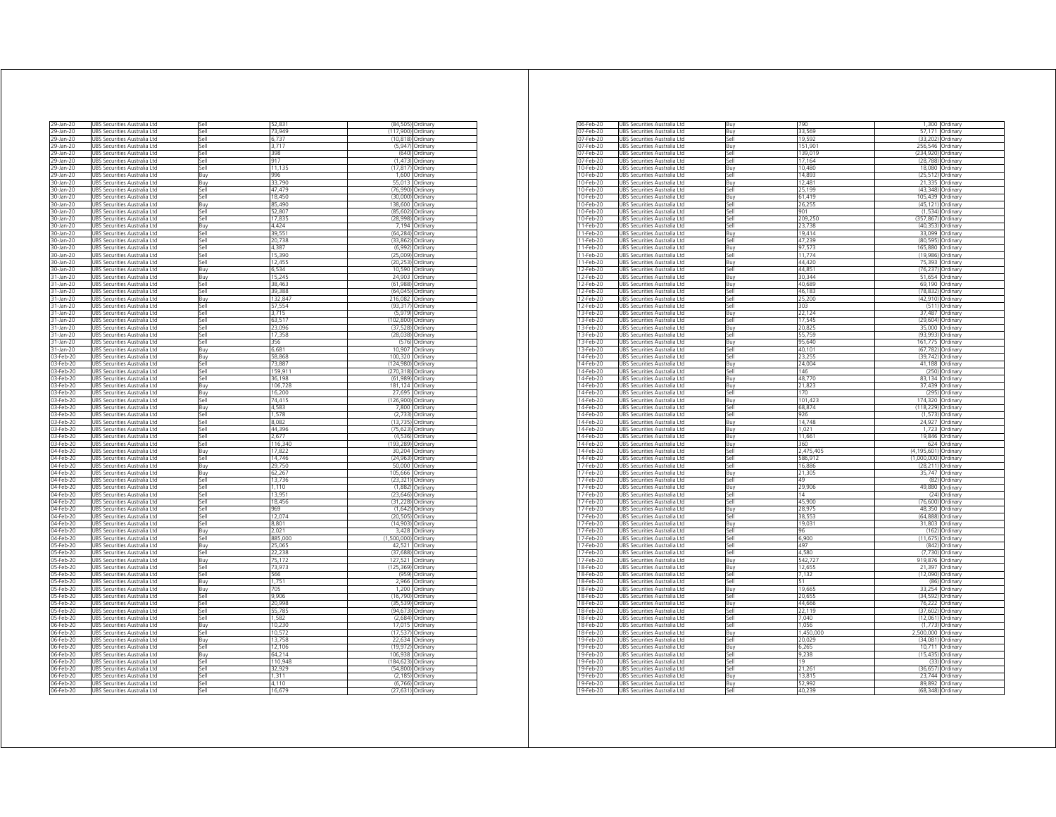| 29-Jan-20 | UBS Securities Australia Ltd        | Sell        | 52,83   | (84, 505)   | Ordinary |
|-----------|-------------------------------------|-------------|---------|-------------|----------|
| 29-Jan-20 | UBS Securities Australia Ltd        | Sell        | 73,949  | (117,900)   | Ordinary |
| 29-Jan-20 | UBS Securities Australia Ltd        | Sell        | 6,737   | (10.818)    | Ordinary |
| 29-Jan-20 | UBS Securities Australia Ltd        | آاھ؟        | 3,717   | (5, 947)    | Ordinan  |
| 9-Jan-20  | <b>JBS Securities Australia Ltd</b> | Sell        | 398     | (640)       | Ordinary |
| 29-Jan-20 | JBS Securities Australia Ltd        | sell        | 917     | (1, 473)    | Ordinary |
| 9-Jan-20  |                                     | sell        |         | (17, 817)   | Ordinary |
|           | UBS Securities Australia Ltd        |             | 11,135  |             |          |
| 29-Jan-20 | UBS Securities Australia Ltd        | Buv         | 996     | 1.600       | Ordinan  |
| 30-Jan-20 | UBS Securities Australia Ltd        | Buy         | 33,790  | 55,013      | Ordinary |
| 30-Jan-20 | URS Securities Australia I td       | <b>Sell</b> | 47 479  | (76990)     | Ordinan  |
| 30-Jan-20 | UBS Securities Australia Ltd        | Sell        | 18.450  | (30.000)    | Ordinary |
| 30-Jan-20 | UBS Securities Australia Ltd        | Buy         | 85.490  | 138.600     | Ordinary |
| 30-Jan-20 | UBS Securities Australia Ltd        | Sell        | 52.807  | (85, 602)   | Ordinary |
| 30-Jan-20 |                                     | ۱le7        | 17.835  | (28.998     |          |
|           | UBS Securities Australia Ltd        |             |         |             | Ordinary |
| 30-Jan-20 | UBS Securities Australia Ltd        | <b>Buy</b>  | 4,424   | 7,194       | Ordinary |
| 30-Jan-20 | JBS Securities Australia Ltd        | sell        | 39.55   | (64, 284)   | Ordinary |
| 30-Jan-20 | UBS Securities Australia Ltd        | Sell        | 20,738  | (33, 862)   | Ordinary |
| 30-Jan-20 | UBS Securities Australia Ltd        | Sell        | 4.387   | (6,992)     | Ordinary |
| 30-Jan-20 | URS Securities Australia I td       | Sell        | 15.390  | (25.009)    | Ordinan  |
| 30-Jan-20 | JBS Securities Australia Ltd        | Sell        | 12,455  | (20, 253)   | Ordinary |
| 30-Jan-20 | UBS Securities Australia Ltd        | Buv         | 6,534   | 10,590      | Ordinan  |
|           |                                     |             |         |             |          |
| 31-Jan-20 | UBS Securities Australia Ltd        | Buy         | 15,245  | 24,903      | Ordinary |
| 31-Jan-20 | UBS Securities Australia Ltd        | ile?        | 38 463  | (61, 988)   | Ordinary |
| 31-Jan-20 | URS Securities Australia Etd        | lle         | 39 388  | (64 045)    | Ordinarv |
| 31-Jan-20 | JBS Securities Australia Ltd        | <b>Buy</b>  | 132.847 | 216,082     | Ordinary |
| 31-Jan-20 | Securities Australia Ltd            | sell        | 57.554  | (93)<br>317 | Ordinary |
| 31-Jan-20 | UBS Securities Australia Ltd        | Sell        | 3715    | (5, 979)    | Ordinary |
|           |                                     | Sell        | 63.517  | (102 800    |          |
| 31-Jan-20 | UBS Securities Australia Ltd        |             |         |             | Ordinary |
| 31-Jan-20 | UBS Securities Australia Ltd        | ۱le7        | 23.096  | (37528)     | Ordinary |
| 31-Jan-20 | UBS Securities Australia Ltd        | <b>Sell</b> | 17.358  | (28.038     | Ordinary |
| 31-Jan-20 | UBS Securities Australia Ltd        | Sell        | 356     | (576)       | Ordinary |
| 31-Jan-20 | UBS Securities Australia Ltd        | Buy         | 6,681   | 10.907      | Ordinary |
| 03-Feb-20 | UBS Securities Australia Ltd        | Buy         | 58,868  | 100,320     | Ordinary |
| 03-Feb-20 | JBS Securities Australia Ltd        | iell        | 73.88   | 124 980     | Ordinary |
|           |                                     |             |         |             |          |
| 03-Feb-20 | UBS Securities Australia Ltd        | sell        | 159,91  | (270, 318)  | Ordinan  |
| 03-Feb-20 | UBS Securities Australia Ltd        | Sell        | 36.198  | (61.989     | Ordinary |
| 03-Feb-20 | UBS Securities Australia Ltd        | Buy         | 106,728 | 181,124     | Ordinary |
| 03-Feb-20 | URS Securities Australia I td       | Buv         | 16.200  | 27.695      | Ordinan  |
| 03-Feb-20 | UBS Securities Australia Ltd        | Sell        | 74,415  | 126,900     | Ordinan  |
| 03-Feb-20 | UBS Securities Australia Ltd        | Buv         | 4,583   | 7,800       | Ordinan  |
|           |                                     |             |         |             |          |
| 03-Feb-20 | UBS Securities Australia Ltd        | Sell        | 1,578   | (2,733)     | Ordinary |
| 03-Feb-20 | UBS Securities Australia Ltd        | ile?        | 8.082   | (13, 735)   | Ordinary |
| 03-Feb-20 | UBS Securities Australia Ltd        | sell        | 44,396  | (75.623)    | Ordinary |
| 03-Feb-20 | JBS Securities Australia Ltd        | sell        | 2.677   | (4,536)     | Ordinary |
| 03-Feb-20 | UBS Securities Australia Ltd        | Sell        | 116,340 | (193,289    | Ordinary |
| 04-Feb-20 | UBS Securities Australia Ltd        | Buy         | 17,822  | 30,204      | Ordinan  |
| 04-Feb-20 | UBS Securities Australia Ltd        | Sell        | 14,746  | (24, 963)   | Ordinan  |
| 04-Feb-20 | UBS Securities Australia Ltd        | Buy         | 29.750  | 50,000      | Ordinary |
|           |                                     |             |         |             |          |
| 04-Feb-20 | UBS Securities Australia Ltd        | Buy         | 62.267  | 105.666     | Ordinary |
| 04-Feb-20 | UBS Securities Australia Ltd        | Sell        | 13,736  | (23, 321)   | Ordinary |
| 04-Feb-20 | UBS Securities Australia Ltd        | ا∣م؟        | 1.110   | (1,882)     | Ordinarv |
| 04-Feb-20 | UBS Securities Australia Ltd        | sell        | 13,951  | (23, 646)   | Ordinary |
| 04-Feb-20 | JBS Securities Australia Ltd        | sell        | 18,456  | (31)<br>228 | Ordinary |
| 04-Feb-20 | UBS Securities Australia Ltd        | 5ell        | 969     | (1, 642)    | Ordinan  |
| 04-Feb-20 | UBS Securities Australia Ltd        | Sell        | 12,074  | (20, 505)   | Ordinary |
|           | UBS Securities Australia Ltd        | Sell        | 8801    |             |          |
| 04-Feb-20 |                                     |             |         | (14, 903)   | Ordinan  |
| 04-Feb-20 | URS Securities Australia Etd        | <b>Buv</b>  | 2.021   | 3.428       | Ordinan  |
| 04-Feb-20 | UBS Securities Australia Ltd        | Sell        | 885,000 | (1,500,000) | Ordinary |
| 05-Feb-20 | UBS Securities Australia Ltd        | Buv         | 25,065  | 42,521      | Ordinan  |
| 05-Feb-20 | UBS Securities Australia Ltd        | Sell        | 22,238  | (37, 688)   | Ordinary |
| 05-Feb-20 | UBS Securities Australia Ltd        | Buy         | 75,172  | 127,521     | Ordinary |
| 05-Feb-20 | JBS Securities Australia Ltd        | sell        | 73 973  | (125, 369)  | Ordinary |
|           |                                     | sell        |         | (959        |          |
| 05-Feb-20 | JBS Securities Australia Ltd        |             | 566     | 2966        | Ordinary |
| 05-Feb-20 | UBS Securities Australia Ltd        | Buy         | 1,751   |             | Ordinary |
| 05-Feb-20 | UBS Securities Australia Ltd        | Buy         | 705     | 1.200       | Ordinan  |
| 05-Feb-20 | UBS Securities Australia Ltd        | Sell        | 9,906   | (16, 790)   | Ordinary |
| 05-Feb-20 | JBS Securities Australia Ltd        | lle?        | 20.998  | (35.539     | Ordinary |
| 05-Feb-20 | UBS Securities Australia Ltd        | Sell        | 55,785  | (94, 673)   | Ordinary |
| 05-Feb-20 | UBS Securities Australia Ltd        | Sell        | 1,582   | (2,684)     | Ordinary |
| 06-Feb-20 | URS Securities Australia Etd        | Buy         | 10.230  | 17.015      | Ordinary |
|           |                                     |             |         | (17537      |          |
| 06-Feb-20 | UBS Securities Australia Ltd        | Sell        | 10,572  |             | Ordinary |
| 06-Feb-20 | JBS Securities Australia Ltd        | 3uy         | 13.758  | 22.634      | Drdinary |
| 06-Feb-20 | UBS Securities Australia Ltd        | 5ell        | 12 106  | (19 972     | Ordinan  |
| 06-Feb-20 | UBS Securities Australia Ltd        | Buy         | 64,214  | 106,938     | Ordinan  |
| 06-Feb-20 | UBS Securities Australia Ltd        | Sell        | 110 948 | (184 623)   | Ordinan  |
| 06-Feb-20 | UBS Securities Australia Ltd        | Sell        | 32.929  | (54.800)    | Ordinan  |
| 06-Feb-20 | UBS Securities Australia Ltd        | Sell        | 1,311   | (2, 185)    | Ordinary |
| 06-Feb-20 | UBS Securities Australia Ltd        | 5ell        | 4.110   |             | Ordinary |
|           |                                     |             |         | (6, 766)    |          |
| 06-Feb-20 | UBS Securities Australia Ltd        | Sell        | 16.679  | (27, 631)   | Ordinary |

| 06-Feb-20              | UBS Securities Australia Ltd                                 | Buv          | 790              | 1300                | Ordinary             |
|------------------------|--------------------------------------------------------------|--------------|------------------|---------------------|----------------------|
| 07-Feb-20              | UBS Securities Australia Ltd                                 | Buy          | 33.569           | 57 171              | Ordinary             |
| 07-Feb-20              | UBS Securities Australia Ltd                                 | Sell         | 19,592           | (33, 202)           | Ordinary             |
| 07-Feb-20              | UBS Securities Australia Ltd                                 | Buy          | 151.901          | 256,546             | Ordinary             |
| 07-Feb-20              | UBS Securities Australia Ltd                                 | Sell         | 139,019          | (234, 920)          | Ordinary             |
| 07-Feb-20              | <b>JRS Securities Australia Ltd</b>                          | Sell         | 17,164           | (28.788)            | Ordinary             |
| 10-Feb-20              | JBS Securities Australia Ltd                                 | Buy          | 10,480           | 18.080              | Ordinary             |
| 10-Feb-20              | JBS Securities Australia Ltd                                 | sell         | 14,893           | (25, 512)           | Ordinary             |
|                        |                                                              |              |                  |                     |                      |
| 10-Feb-20              | UBS Securities Australia Ltd                                 | Buv          | 12,481           | 21,335              | Ordinarv             |
| 10-Feb-20              | UBS Securities Australia Ltd                                 | Sell         | 25.199           | (43.348)            | Ordinary             |
| 10-Feb-20              | JBS Securities Australia Ltd                                 | Buy          | 61,419           | 105,439             | Ordinary             |
| 10-Feb-20              | URS Securities Australia I td                                | <b>Sell</b>  | 26.255           | (45, 121)           | Ordinan              |
| 10-Feb-20              | UBS Securities Australia Ltd                                 | Sell         | 901              | (1534)              | Ordinary             |
| 10-Feb-20              | UBS Securities Australia Ltd                                 | Sell         | 209,250          | (357.867            | Ordinary             |
| 11-Feb-20              | UBS Securities Australia Ltd                                 | Sell         | 23,738           | (40, 353)           | Ordinary             |
| 11-Feb-20              | UBS Securities Australia Ltd                                 | Buy          | 19,414           | 33,099              | Ordinary             |
| 11-Feb-20              | JBS Securities Australia Ltd                                 | <b>I</b> le2 | 47.239           | (80.595)            | Ordinary             |
| 11-Feb-20              | JBS Securities Australia Ltd                                 | Buy          | 97,573           | 165,880             | Ordinary             |
| 11-Feb-20              | JBS Securities Australia Ltd                                 | Sell         | 11,774           | (19,986)            | Ordinary             |
| 11-Feb-20              | UBS Securities Australia Ltd                                 | Buv          | 44,420           | 75 393              | Ordinary             |
|                        |                                                              |              |                  |                     |                      |
| 12-Feb-20              | UBS Securities Australia Ltd                                 | Sell         | 44,851           | (76, 237)           | Ordinary             |
| 12-Feb-20              | JBS Securities Australia Ltd                                 | Buv          | 30,344           | 51,654              | Ordinary             |
| 12-Feb-20              | UBS Securities Australia Ltd                                 | Buy          | 40,689           | 69 190              | Ordinary             |
| 12-Feb-20              | JBS Securities Australia Ltd                                 | <b>Sell</b>  | 46,183           | 78.832              | Ordinary             |
| 12-Feb-20              | UBS Securities Australia Ltd                                 | Sell         | 25,200           | (42, 910)           | Ordinary             |
| 12-Feb-20              | UBS Securities Australia Ltd                                 | Sell         | 303              | (511)               | Ordinary             |
| 13-Feb-20              | JBS Securities Australia Ltd                                 | Buy          | 22,124           | 37.487              | Ordinary             |
| 13-Feb-20              | JBS Securities Australia Ltd                                 | sell         | 17.545           | (29.604             | Ordinary             |
| 13-Feb-20              | JBS Securities Australia Ltd                                 | Buy          | 20,825           | 35,000              | Ordinary             |
| 13-Feb-20              | <b>JRS</b><br>Securities Australia Ltd                       | <b>Sell</b>  | 55.759           | (93)<br>993         | Ordinary             |
| 13-Feb-20              | UBS Securities Australia Ltd                                 | Buy          | 95,640           | 161,775             | Ordinary             |
| 13-Feb-20              |                                                              |              | 40 101           | (67782)             |                      |
|                        | UBS Securities Australia Ltd                                 | Sell         |                  |                     | Ordinan              |
| 14-Feb-20              | UBS Securities Australia Ltd                                 | Sell         | 23,255           | (39, 742)           | Ordinary             |
| 14-Feb-20              | URS Securities Australia Ltd                                 | <b>Bu</b>    | 24.004           | 41 188              | Ordinan              |
| 14-Feb-20              | UBS Securities Australia Ltd                                 | Sell         | 146              | (250)               | Ordinary             |
| 14-Feb-20              | UBS Securities Australia Ltd                                 | Buy          | 48,770           | 83,134              | Ordinary             |
| 14-Feb-20              | UBS Securities Australia Ltd                                 | Buy          | 21,823           | 37 439              | Ordinary             |
| 14-Feb-20              | URS Securities Australia Ltd                                 | Sell         | 170              | (295                | Ordinary             |
| 14-Feb-20              | JBS Securities Australia Ltd                                 | Buy          | 101,42           | 174,320             | Ordinary             |
| 14-Feb-20              | JBS Securities Australia Ltd                                 | <b>Sell</b>  | 68,874           | (118, 229)          | Ordinary             |
| 14-Feb-20              | UBS Securities Australia Ltd                                 | Sell         | 926              | (1,573)             | Ordinary             |
| 14-Feb-20              | UBS Securities Australia Ltd                                 | Buy          | 14,748           | 24.927              | Ordinary             |
| 14-Feb-20              | UBS Securities Australia Ltd                                 | Buy          | 1,021            | 1,723               | Ordinary             |
|                        |                                                              |              |                  | 19.846              |                      |
| 14-Feb-20              | UBS Securities Australia Ltd                                 | Buy          | 11,66            |                     | Ordinary             |
| 14-Feb-20              | UBS Securities Australia Ltd                                 | Buy          | 360              | 624                 | Ordinary             |
| 14-Feb-20              | UBS Securities Australia Ltd                                 | Sell         | 2,475,405        | (4, 195, 601)       | Ordinary             |
| 14-Feb-20              | JBS Securities Australia Ltd                                 | Sell         | 586.912          | (1,000,000)         | Ordinan              |
| 17-Feb-20              | JBS Securities Australia Ltd                                 | Sell         | 16,886           | (28, 211)           | Ordinary             |
| 17-Feb-20              | JBS Securities Australia Ltd                                 | <b>Buv</b>   | 21.305           | 35.747              | Ordinary             |
| 17-Feb-20              | JBS Securities Australia Ltd                                 | <b>Sell</b>  | 49               | (82)                | Ordinary             |
| 17-Feb-20              | <b>JBS</b><br>Securities Australia Ltd                       | Buy          | 29,906           | 49.880              | Ordinary             |
| 17-Feb-20              | UBS Securities Australia Ltd                                 | Sell         | 14               | (74)                | Ordinarv             |
| 17-Feb-20              | UBS Securities Australia Ltd                                 | <b>Sell</b>  | 45,900           | (76,600)            | Ordinan              |
| 17-Feb-20              | UBS Securities Australia Ltd                                 | Buy          | 28,975           | 48,350              | Ordinan              |
| 17-Feb-20              | UBS Securities Australia Ltd                                 | Sell         | 38.557           | (64 888             | Ordinary             |
| 17-Feb-20              | UBS Securities Australia Ltd                                 | Buy          | 19,031           | 31,803              | Ordinary             |
|                        |                                                              |              |                  |                     |                      |
| 17-Feb-20              | UBS Securities Australia Ltd                                 | Sell         | 96               | (162)               | Ordinary             |
| 17-Feb-20              | UBS Securities Australia Ltd                                 | Sell         | 6,900            | (11, 675)           | Ordinary             |
| 17-Feb-20              | JBS Securities Australia Ltd                                 | <b>I</b> le2 | 497              | (842)               | Ordinary             |
| 17-Feb-20              | UBS Securities Australia Ltd                                 | <b>Sell</b>  | 4,580            | (7, 730)            | Ordinary             |
| 17-Feb-20              | JBS Securities Australia Ltd                                 | Buy          | 542,72           | 919,876             | Ordinary             |
| 18-Feb-20              | UBS Securities Australia Ltd                                 | Buy          | 12,655           | 21,397              | Ordinary             |
| 18-Feb-20              | UBS Securities Australia Ltd                                 | Sell         | 7,132            | (12,090)            | Ordinary             |
| 18-Feb-20              | UBS Securities Australia Ltd                                 | Sell         | 51               | (86)                | Ordinan              |
| 18-Feb-20              | UBS Securities Australia Ltd                                 | Buy          | 19,665           | 33 254              | Ordinary             |
| 18-Feb-20              | UBS Securities Australia Ltd                                 | Sell         | 20,655           | (34, 592)           | Ordinary             |
| 18-Feb-20              | UBS Securities Australia Ltd                                 | Buy          | 44,666           | 76,222              | Ordinary             |
| 18-Feb-20              |                                                              | Sell         | 22,119           | (37, 602)           | Ordinary             |
|                        | <b>JBS Securities Australia Ltd</b>                          |              |                  |                     |                      |
| 18-Feb-20              | JBS Securities Australia Ltd                                 | <b>I</b> le2 | 7,040            | (12,061)            | Ordinary             |
| 18-Feb-20              | JBS Securities Australia Ltd                                 | <b>Sell</b>  | 1,056            | (1,773)             | Ordinary             |
| 18-Feb-20              | JBS Securities Australia Ltd                                 | Buy          | 1,450,000        | 2.500.000           | Ordinary             |
| 19-Feb-20              | UBS Securities Australia Ltd                                 | Sell         | 20,029           | (34, 081)           | Ordinary             |
| 19-Feb-20              | UBS Securities Australia Ltd                                 | Buy          | 6,265            | 10,711              | Ordinary             |
| 19-Feb-20              | UBS Securities Australia Ltd                                 | Sell         | 9,238            | (15, 435)           | Ordinary             |
| 19-Feb-20              | UBS Securities Australia Ltd                                 | Sell         | 19               | (33)                | Ordinan              |
| 19-Feb-20              | UBS Securities Australia Ltd                                 | Sell         | 21.26            | (36.657             | Ordinan              |
| 19-Feb-20              | UBS Securities Australia Ltd                                 | Buv          | 13,815           | 23,744              | Ordinary             |
|                        |                                                              |              |                  |                     |                      |
|                        |                                                              |              |                  |                     |                      |
| 19-Feb-20<br>19-Feb-20 | UBS Securities Australia Ltd<br>UBS Securities Australia Ltd | Buv<br>Sell  | 52 992<br>40.239 | 89,892<br>(68, 348) | Ordinary<br>Ordinary |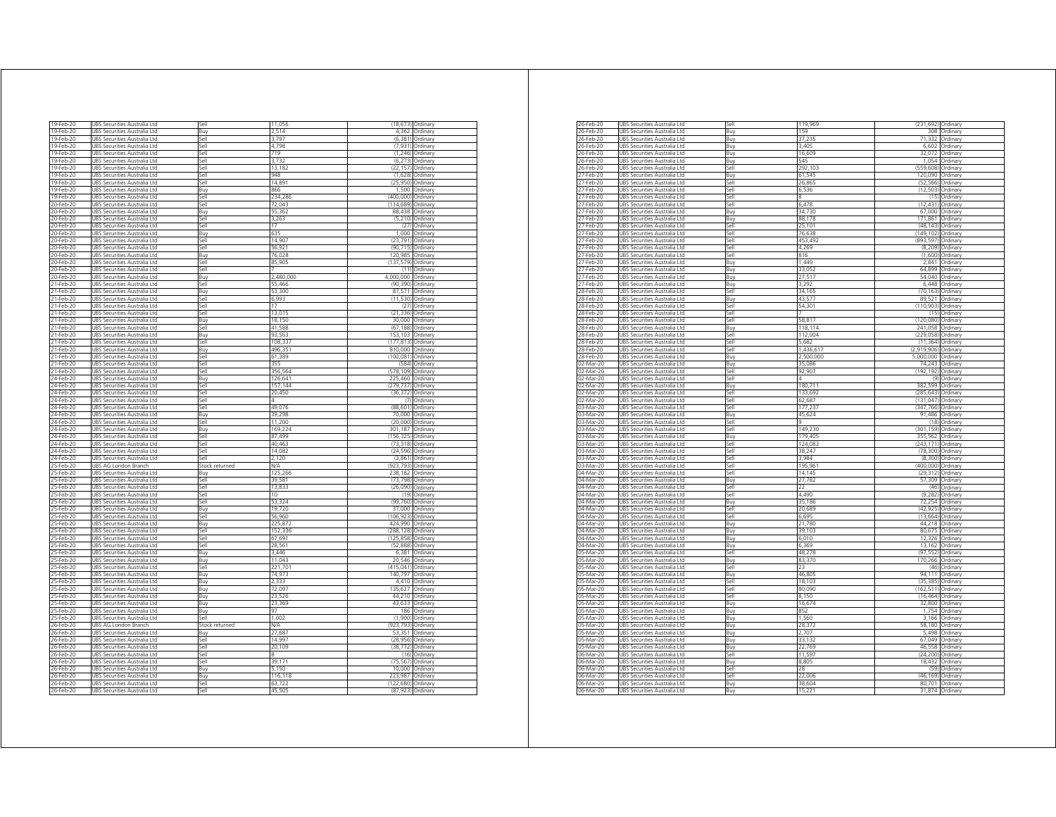| 19-Feb-20 | UBS Securities Australia Ltd           | Sell           | 11.056         |                    | (18.673) Ordinary |
|-----------|----------------------------------------|----------------|----------------|--------------------|-------------------|
| 19-Feb-20 | UBS Securities Australia Ltd           | Buv            | 2.514          |                    | 4.362 Ordinary    |
| 19-Feb-20 | UBS Securities Australia Ltd           | Sell           | 3,797          |                    | (6,381) Ordinary  |
| 19-Feb-20 | UBS Securities Australia Ltd           | Sell           | 4,798          | (7, 931)           | Ordinan           |
| 19-Feb-20 | JBS Securities Australia Ltd           | ۱le7           | 719            | (1, 246)           | Ordinary          |
| 19-Feb-20 | UBS Securities Australia Ltd           | Sell           | 3,732          | (6, 273)           | Ordinary          |
| 19-Feb-20 | UBS Securities Australia Ltd           | Sell           | 13,182         | (22, 157)          | Ordinary          |
|           |                                        | Sell           | 948            |                    |                   |
| 19-Feb-20 | UBS Securities Australia Ltd           |                |                | (1,628)            | Ordinan           |
| 19-Feb-20 | UBS Securities Australia Ltd           | Sell           | 14,89          | (25, 950)          | Ordinary          |
| 19-Feb-20 | JBS Securities Australia Ltd           | Buy            | 866            | 1500               | Ordinary          |
| 19-Feb-20 | UBS Securities Australia Ltd           | Sell           | 234,286        | (400,000) Ordinary |                   |
| 20-Feb-20 | UBS Securities Australia Ltd           | Sell           | 72.043         | (114, 689)         | Ordinary          |
| 20-Feb-20 | UBS Securities Australia Ltd           | Buv            | 55.362         | 88,438             | Ordinary          |
|           |                                        |                |                |                    |                   |
| 20-Feb-20 | UBS Securities Australia Ltd           | Sell           | 3.263          | (5.210)            | Ordinary          |
| 20-Feb-20 | JBS Securities Australia Ltd           | <b>Sell</b>    | 17             | (27)               | Ordinary          |
| 0-Feb-20  | JBS Securities Australia Ltd           | Buv            | 635            | 1,000              | Ordinan           |
| 20-Feb-20 | UBS Securities Australia Ltd           | Sell           | 14.907         | (23, 791)          | Ordinary          |
| 20-Feb-20 | UBS Securities Australia Ltd           | Sell           | 56 921         | (90715)            | Ordinary          |
| 20-Feb-20 | UBS Securities Australia Ltd           | <b>Buv</b>     | 76,028         | 120 985            | Ordinan           |
|           |                                        |                |                |                    |                   |
| 20-Feb-20 | UBS Securities Australia Ltd           | Sell           | 85.905         | (137.579)          | Ordinan           |
| 20-Feb-20 | UBS Securities Australia Ltd           | Sell           |                |                    | $(11)$ Ordinary   |
| 20-Feb-20 | UBS Securities Australia Ltd           | Buv            | 2.480.000      | 4,000,000          | Ordinary          |
| 21-Feb-20 | UBS Securities Australia Ltd           | Sell           | 55,466         | (90.390)           | Ordinary          |
| 21-Feb-20 | JBS Securities Australia Ltd           | Buy            | 53,300         | 87,571             | Ordinary          |
| 21-Feb-20 | UBS Securities Australia Ltd           | Sell           | 6993           | (11.530)           | Ordinan           |
|           |                                        |                |                |                    |                   |
| 21-Feb-20 | UBS Securities Australia Ltd           | Sell           | 17             | (27)               | Ordinary          |
| 21-Feb-20 | UBS Securities Australia Ltd           | Sell           | 13.015         | (21, 336)          | Ordinary          |
| 21-Feb-20 | <b>JBS Securities Australia Ltd</b>    | <b>Buv</b>     | 18.150         | 30.000             | Ordinary          |
| 21-Feb-20 | UBS Securities Australia Ltd           | Sell           | 41,588         | (67.188)           | Ordinary          |
| 21-Feb-20 | UBS Securities Australia Ltd           | Buv            | 93,563         | 153,103 Ordinary   |                   |
| 21-Feb-20 |                                        | Sell           |                |                    | Ordinary          |
|           | UBS Securities Australia Ltd           |                | 108,337        | (177, 813)         |                   |
| 21-Feb-20 | UBS Securities Australia Ltd           | Buy            | 496,351        | 810.000            | Ordinary          |
| 21-Feb-20 | UBS Securities Australia Ltd           | sell           | 61,389         | (100.081)          | Ordinary          |
| 21-Feb-20 | JBS Securities Australia Ltd           | sell           | 355            | (584)              | Ordinary          |
| 21-Feb-20 | UBS Securities Australia Ltd           | Sell           | 356,564        | (578, 109)         | Ordinary          |
| 24-Feb-20 | UBS Securities Australia Ltd           | Buy            | 126.641        | 225,460 Ordinary   |                   |
|           |                                        |                |                |                    |                   |
| 24-Feb-20 | UBS Securities Australia Ltd           | Sell           | 157,144        | (279, 737)         | Ordinan           |
| 24-Feb-20 | UBS Securities Australia Ltd           | Sell           | 20 450         | (36 372            | Ordinary          |
| 24-Feb-20 | UBS Securities Australia Ltd           | Sell           | $\overline{A}$ | (7)                | Ordinan           |
| 24-Feb-20 | UBS Securities Australia Ltd           | Sell           | 49,076         |                    | (88,601) Ordinary |
| 24-Feb-20 | UBS Securities Australia Ltd           | Buy            | 39,298         |                    | 70.000 Ordinary   |
| 24-Feb-20 | URS Securities Australia Etd           | Sell           | 11.200         | (20.000)           | Ordinary          |
|           |                                        |                |                |                    |                   |
| 24-Feb-20 | UBS Securities Australia Ltd           | 3uy            | 169,224        | 301.187            | Ordinary          |
| 24-Feb-20 | UBS Securities Australia Ltd           | Sell           | 87,499         | (156.325           | Ordinary          |
| 24-Feb-20 | UBS Securities Australia Ltd           | Sell           | 40.463         | (73.318)           | Ordinan           |
| 24-Feb-20 | UBS Securities Australia Ltd           | Sell           | 14 08 2        | (24, 596)          | Ordinary          |
| 24-Feb-20 | JBS Securities Australia Ltd           | Sell           | 2 1 2 0        | (3,861)            | Ordinary          |
| 25-Feb-20 |                                        |                | N/A            | (923.793           | Ordinary          |
|           | UBS AG London Branch                   | Stock returned |                |                    |                   |
| 25-Feb-20 | JBS Securities Australia Ltd           | Buy            | 125,266        | 238.182            | Ordinary          |
| 25-Feb-20 | UBS Securities Australia Ltd           | Sell           | 39,581         | (73, 798)          | Ordinary          |
| 25-Feb-20 | UBS Securities Australia Ltd           | ا∣م؟           | 13,833         | (26,090)           | Ordinan           |
| 25-Feb-20 | UBS Securities Australia Ltd           | sell           | 10             | (19)               | Ordinary          |
| 25-Feb-20 | JBS Securities Australia Ltd           | sell           | 53 324         | (99, 760)          | Ordinary          |
|           |                                        |                |                |                    |                   |
| 25-Feb-20 | UBS Securities Australia Ltd           | Buy            | 19,720         | 37.000             | Ordinary          |
| 25-Feb-20 | UBS Securities Australia Ltd           | Sell           | 56,960         | (106, 923)         | Ordinary          |
| 25-Feb-20 | URS Securities Australia Ltd           | <b>Buv</b>     | 225.872        | 424.990            | Ordinary          |
| 25-Feb-20 | JBS Securities Australia Ltd           | Sell           | 152.336        | (288, 128)         | Ordinary          |
| 25-Feb-20 | UBS Securities Australia Ltd           | Sell           | 67,691         | (125, 858)         | Ordinary          |
| 25-Feb-20 | UBS Securities Australia Ltd           | Sell           | 28 561         | (52, 888)          | Ordinary          |
|           |                                        |                | 3 4 4 6        |                    |                   |
| 25-Feb-20 | UBS Securities Australia Ltd           | Buy            |                | 6,381              | Ordinary          |
| 25-Feb-20 | UBS Securities Australia Ltd           | <b>Buv</b>     | 11.043         | 20.546             | Ordinary          |
| 25-Feb-20 | UBS Securities Australia Ltd           | 5ell           | 221,701        | (415, 041)         | Ordinary          |
| 25-Feb-20 | <b>JBS</b><br>Securities Australia Ltd | Buy            | 74,973         | 140.797            | Ordinary          |
| 25-Feb-20 | UBS Securities Australia Ltd           | Buy            | 2.333          | 4,410              | Ordinary          |
| 25-Feb-20 | UBS Securities Australia Ltd           | Buy            | 72.097         | 135 627            | Ordinan           |
|           |                                        |                | 23,526         |                    |                   |
| 25-Feb-20 | JBS Securities Australia Ltd           | Buy            |                | 44,210             | Ordinary          |
| 25-Feb-20 | UBS Securities Australia Ltd           | Buy            | 23.369         |                    | 43.633 Ordinary   |
| 25-Feb-20 | UBS Securities Australia Ltd           | Buy            | 97             |                    | 186 Ordinary      |
| 25-Feb-20 | UBS Securities Australia Ltd           | Sell           | 1,002          | (1,900)            | Ordinary          |
| 26-Feb-20 | <b>JBS AG London Branch</b>            | Stock returned | N/A            | (923.793)          | Ordinarv          |
|           |                                        |                |                |                    |                   |
| 26-Feb-20 | UBS Securities Australia Ltd           | Buy            | 27,687         | 53,351             | Ordinary          |
| 26-Feb-20 | UBS Securities Australia Ltd           | Sell           | 14,99          | (28, 956)          | Ordinary          |
| 26-Feb-20 | UBS Securities Australia Ltd           | Sell           | 20 109         | (38, 772)          | Ordinan           |
| 26-Feb-20 | UBS Securities Australia Ltd           | Sell           |                | (16)               | Ordinary          |
| 26-Feb-20 | UBS Securities Australia Ltd           | Sell           | 39 171         | (75.567)           | Ordinary          |
| 26-Feb-20 | JBS Securities Australia Ltd           | Buy            | 5.150          |                    | 10.000 Ordinary   |
|           |                                        |                |                |                    |                   |
| 26-Feb-20 | UBS Securities Australia Ltd           | Buy            | 116,118        | 223,987 Ordinary   |                   |
| 26-Feb-20 | UBS Securities Australia Ltd           | Sell           | 63.722         | (122.680)          | Ordinary          |
| 26-Feb-20 | UBS Securities Australia Ltd           | Sell           | 45 505         | (87,923) Ordinary  |                   |

| 26-Feb-20 | UBS Securities Australia Ltd           | Sell          | 119,969   | (231,692) Ordinary |                 |
|-----------|----------------------------------------|---------------|-----------|--------------------|-----------------|
| 26-Feb-20 | JBS Securities Australia Ltd           | Buy           | 159       | 308                | Ordinary        |
| 26-Feb-20 | UBS Securities Australia Ltd           | Buy           | 37,235    | 71,332             | Ordinary        |
| 26-Feb-20 | UBS Securities Australia Ltd           | Buy           | 3.405     | 6.602              | Ordinary        |
| 26-Feb-20 | UBS Securities Australia Ltd           | Buy           | 16,609    | 32,072             | Ordinary        |
| 26-Feb-20 | UBS Securities Australia I td          | <b>Buv</b>    | 545       | 1054               | Ordinary        |
| 26-Feb-20 | JBS Securities Australia Ltd           | sell          | 292,103   | (559, 608)         | Ordinary        |
| 27-Feb-20 | JBS Securities Australia Ltd           | Buy           | 61,545    | 120,090            | Ordinary        |
|           |                                        |               |           |                    |                 |
| 27-Feb-20 | UBS Securities Australia Ltd           | sell          | 26,865    | (52, 566)          | Ordinarv        |
| 27-Feb-20 | UBS Securities Australia Ltd           | Sell          | 6,536     | (12.503)           | Ordinary        |
| 27-Feb-20 | UBS Securities Australia Ltd           | Sell          | 8         | (15)               | Ordinary        |
| 27-Feb-20 | URS Securities Australia I td          | <b>Sell</b>   | 6.478     | (12, 431)          | Ordinan         |
| 27-Feb-20 | UBS Securities Australia Ltd           | Buy           | 34,730    | 67,000             | Ordinary        |
| 27-Feb-20 | UBS Securities Australia Ltd           | Buy           | 88,178    | 171,861            | Ordinary        |
| 27-Feb-20 | UBS Securities Australia Ltd           | Sell          | 25, 101   | (48, 143)          | Ordinary        |
| 27-Feb-20 | UBS Securities Australia Ltd           | <b>Sell</b>   | 76,638    | (149, 102)         | Ordinary        |
| 27-Feb-20 | JBS Securities Australia Ltd           | 5ell          | 453.492   | (893.597)          | Ordinary        |
| 27-Feb-20 | JBS Securities Australia Ltd           | sell          | 4,269     | (8, 209)           | Ordinary        |
| 27-Feb-20 | UBS Securities Australia Ltd           | sell          | 816       | (1,600)            | Ordinary        |
| 27-Feb-20 | UBS Securities Australia Ltd           | Buv           | 1,449     | 2,841              | Ordinan         |
|           |                                        |               |           |                    |                 |
| 27-Feb-20 | UBS Securities Australia Ltd           | Buy           | 33,052    | 64,899             | Ordinary        |
| 27-Feb-20 | UBS Securities Australia Ltd           | Buy           | 27,517    | 54,040             | Ordinary        |
| 27-Feb-20 | JBS Securities Australia Ltd           | Buy           | 3,292     | 6 4 4 8            | Ordinary        |
| 28-Feb-20 | JBS Securities Australia Ltd           | <b>I</b> le2  | 34,165    | (70 163)           | Ordinan         |
| 28-Feb-20 | UBS Securities Australia Ltd           | Buy           | 43,577    | 89.521             | Ordinary        |
| 28-Feb-20 | UBS Securities Australia Ltd           | Sell          | 54,301    | (110, 903)         | Ordinary        |
| 28-Feb-20 | URS Securities Australia Ltd           | 5ell          |           | (15)               | Ordinary        |
| 28-Feb-20 | JBS Securities Australia Ltd           | 5ell          | 58.817    | (120.080)          | Ordinary        |
| 28-Feb-20 | JBS Securities Australia Ltd           | 3uy           | 118,114   | 241,058            | Ordinary        |
| 28-Feb-20 | <b>JRS</b><br>Securities Australia Ltd | iell          | 112,004   | (229, 058)         | Ordinary        |
| 28-Feb-20 | UBS Securities Australia Ltd           | <b>I</b> le2  | 5682      | (11, 364)          |                 |
|           |                                        | Sell          | 1,436,617 | (2.919.906)        | Ordinary        |
| 28-Feb-20 | <b>UBS Securities Australia Ltd</b>    |               |           |                    | Ordinan         |
| 28-Feb-20 | JBS Securities Australia Ltd           | Buy           | 2,500,000 | 5,000,000          | Ordinan         |
| 02-Mar-20 | URS Securities Australia I td          | Buy           | 35.086    | 74 243             | Ordinary        |
| 02-Mar-20 | UBS Securities Australia Ltd           | Sell          | 92,907    | (192 192)          | Ordinary        |
| 02-Mar-20 | UBS Securities Australia Ltd           | Sell          | Δ         | (9)                | Ordinary        |
| 02-Mar-20 | UBS Securities Australia Ltd           | Buy           | 180,711   | 382,599            | Ordinary        |
| 02-Mar-20 | URS Securities Australia Ltd           | Sell          | 133.692   | (285.643)          | Ordinary        |
| 02-Mar-20 | JBS Securities Australia Ltd           | $\frac{1}{2}$ | 62.687    | (131.047)          | Ordinary        |
| 03-Mar-20 | JBS Securities Australia Ltd           | sell          | 177,237   | (347, 766)         | Ordinary        |
| 03-Mar-20 | UBS Securities Australia Ltd           | Buy           | 45.624    | 91,486             | Ordinary        |
| 03-Mar-20 | UBS Securities Australia Ltd           | <b>I</b> le2  |           | (18)               | Ordinary        |
| 03-Mar-20 | UBS Securities Australia Ltd           | Sell          | 149,230   | (301, 159)         | Ordinary        |
|           |                                        |               | 179.405   | 355 562            |                 |
| 03-Mar-20 | JBS Securities Australia Ltd           | Buy           |           |                    | Ordinary        |
| 03-Mar-20 | UBS Securities Australia Ltd           | Sell          | 124,083   | (243, 171)         | Ordinary        |
| 03-Mar-20 | UBS Securities Australia Ltd           | <b>Sell</b>   | 38,247    | (78, 300)          | Ordinary        |
| 03-Mar-20 | UBS Securities Australia Ltd           | ie.           | 3,984     | (8,300)            | Ordinary        |
| 03-Mar-20 | UBS Securities Australia Ltd           | 5ell          | 195,961   | (400,000)          | Ordinary        |
| 04-Mar-20 | JBS Securities Australia Ltd           | 5ell          | 14.145    | (29.312)           | Ordinary        |
| 04-Mar-20 | JBS Securities Australia Ltd           | 3uy           | 27,782    | 57,309             | Ordinary        |
| 04-Mar-20 | JBS Securities Australia Ltd           | iell          |           | (46)               | Ordinary        |
| 04-Mar-20 | UBS Securities Australia Ltd           | Sell          | 4,490     | (9.282)            | Ordinary        |
| 04-Mar-20 | UBS Securities Australia Ltd           | Buy           | 35.186    | 72.254             | Ordinan         |
| 04-Mar-20 | UBS Securities Australia Ltd           | Sell          | 20,689    | (42, 925)          | Ordinan         |
| 04-Mar-20 | UBS Securities Australia Ltd           | Sell          | 6,695     | (13, 664)          | Ordinary        |
|           |                                        |               |           |                    |                 |
| 04-Mar-20 | UBS Securities Australia Ltd           | Buy           | 21,780    | 44,218             | Ordinary        |
| 04-Mar-20 | UBS Securities Australia Ltd           | Buy           | 39.103    | 80,675             | Ordinary        |
| 04-Mar-20 | UBS Securities Australia Ltd           | Buy           | 6,010     | 12,326             | Ordinary        |
| 04-Mar-20 | UBS Securities Australia Ltd           | Buv           | 6369      | 13,162             | Ordinary        |
| 05-Mar-20 | JBS Securities Australia Ltd           | <b>Sell</b>   | 48,278    | (97, 552)          | Ordinary        |
| 05-Mar-20 | JBS Securities Australia Ltd           | Buy           | 83,370    | 170,266            | Ordinary        |
| 05-Mar-20 | UBS Securities Australia Ltd           | Sell          | 23        | (46)               | Ordinary        |
| 05-Mar-20 | UBS Securities Australia Ltd           | Buy           | 46,805    |                    | 94,111 Ordinary |
| 05-Mar-20 | UBS Securities Australia Ltd           | Sell          | 18.103    | (35.385)           | Ordinan         |
| 05-Mar-20 | JBS Securities Australia Ltd           | Sell          | 80,090    | 162,511)           | Ordinary        |
| 05-Mar-20 | UBS Securities Australia Ltd           | Sell          | 8,150     | (16, 464)          | Ordinary        |
|           |                                        |               |           |                    |                 |
| 05-Mar-20 | UBS Securities Australia Ltd           | Buy           | 16,674    | 32,800             | Ordinary        |
| 05-Mar-20 | UBS Securities Australia Ltd           | Buy           | 852       | 1,754              | Ordinary        |
| 05-Mar-20 | UBS Securities Australia Ltd           | Buy           | 1,560     | 3,166              | Ordinary        |
| 05-Mar-20 | JBS Securities Australia Ltd           | Buy           | 28,372    | 58,180             | Ordinary        |
| 05-Mar-20 | JBS Securities Australia Ltd           | Buy           | 2.707     | 5.498              | Ordinary        |
| 05-Mar-20 | UBS Securities Australia Ltd           | Buy           | 33.132    | 67.049             | Ordinary        |
| 05-Mar-20 | UBS Securities Australia Ltd           | Buy           | 22,769    | 46,558             | Ordinary        |
| 06-Mar-20 | URS Securities Australia I td          | Sell          | 11,597    | (24, 200)          | Ordinary        |
| 06-Mar-20 | UBS Securities Australia Ltd           | <b>Bu</b>     | 8.805     | 18.432             | Ordinan         |
|           |                                        |               |           | (59)               |                 |
| 06-Mar-20 | UBS Securities Australia Ltd           | Sell          | 28        |                    | Ordinary        |
| 06-Mar-20 | UBS Securities Australia Ltd           | Sell          | 22,006    | (46, 169)          | Ordinary        |
| 06-Mar-20 | UBS Securities Australia Ltd           | Buv           | 38.604    | 80,701             | Ordinary        |
| 06-Mar-20 | UBS Securities Australia Ltd           | Buy           | 15,221    |                    | 31,874 Ordinary |